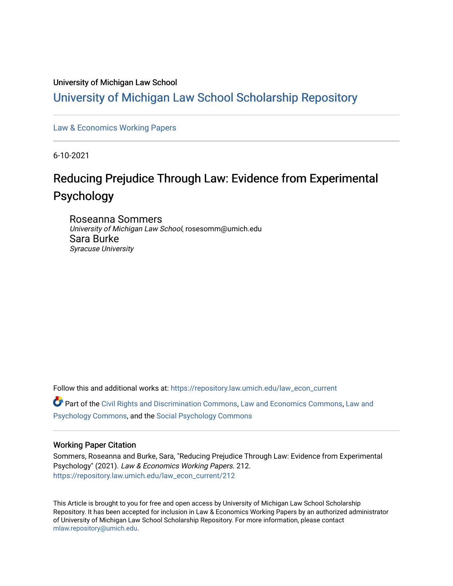### University of Michigan Law School

## [University of Michigan Law School Scholarship Repository](https://repository.law.umich.edu/)

[Law & Economics Working Papers](https://repository.law.umich.edu/law_econ_current)

6-10-2021

# Reducing Prejudice Through Law: Evidence from Experimental Psychology

Roseanna Sommers University of Michigan Law School, rosesomm@umich.edu Sara Burke Syracuse University

Follow this and additional works at: [https://repository.law.umich.edu/law\\_econ\\_current](https://repository.law.umich.edu/law_econ_current?utm_source=repository.law.umich.edu%2Flaw_econ_current%2F212&utm_medium=PDF&utm_campaign=PDFCoverPages) 

Part of the [Civil Rights and Discrimination Commons,](http://network.bepress.com/hgg/discipline/585?utm_source=repository.law.umich.edu%2Flaw_econ_current%2F212&utm_medium=PDF&utm_campaign=PDFCoverPages) [Law and Economics Commons](http://network.bepress.com/hgg/discipline/612?utm_source=repository.law.umich.edu%2Flaw_econ_current%2F212&utm_medium=PDF&utm_campaign=PDFCoverPages), [Law and](http://network.bepress.com/hgg/discipline/870?utm_source=repository.law.umich.edu%2Flaw_econ_current%2F212&utm_medium=PDF&utm_campaign=PDFCoverPages)  [Psychology Commons,](http://network.bepress.com/hgg/discipline/870?utm_source=repository.law.umich.edu%2Flaw_econ_current%2F212&utm_medium=PDF&utm_campaign=PDFCoverPages) and the [Social Psychology Commons](http://network.bepress.com/hgg/discipline/414?utm_source=repository.law.umich.edu%2Flaw_econ_current%2F212&utm_medium=PDF&utm_campaign=PDFCoverPages) 

### Working Paper Citation

Sommers, Roseanna and Burke, Sara, "Reducing Prejudice Through Law: Evidence from Experimental Psychology" (2021). Law & Economics Working Papers. 212. [https://repository.law.umich.edu/law\\_econ\\_current/212](https://repository.law.umich.edu/law_econ_current/212?utm_source=repository.law.umich.edu%2Flaw_econ_current%2F212&utm_medium=PDF&utm_campaign=PDFCoverPages) 

This Article is brought to you for free and open access by University of Michigan Law School Scholarship Repository. It has been accepted for inclusion in Law & Economics Working Papers by an authorized administrator of University of Michigan Law School Scholarship Repository. For more information, please contact [mlaw.repository@umich.edu.](mailto:mlaw.repository@umich.edu)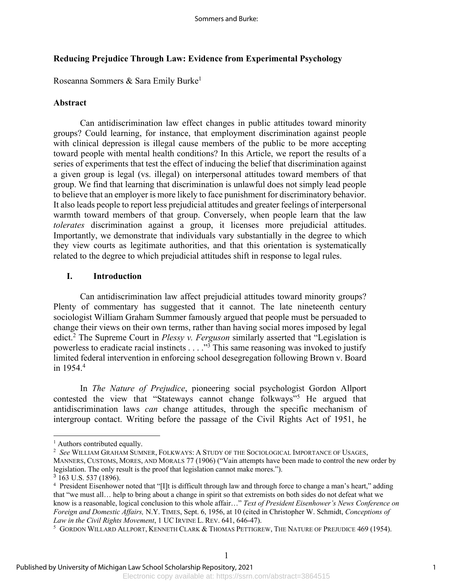### **Reducing Prejudice Through Law: Evidence from Experimental Psychology**

Roseanna Sommers & Sara Emily Burke1

### **Abstract**

Can antidiscrimination law effect changes in public attitudes toward minority groups? Could learning, for instance, that employment discrimination against people with clinical depression is illegal cause members of the public to be more accepting toward people with mental health conditions? In this Article, we report the results of a series of experiments that test the effect of inducing the belief that discrimination against a given group is legal (vs. illegal) on interpersonal attitudes toward members of that group. We find that learning that discrimination is unlawful does not simply lead people to believe that an employer is more likely to face punishment for discriminatory behavior. It also leads people to report less prejudicial attitudes and greater feelings of interpersonal warmth toward members of that group. Conversely, when people learn that the law *tolerates* discrimination against a group, it licenses more prejudicial attitudes. Importantly, we demonstrate that individuals vary substantially in the degree to which they view courts as legitimate authorities, and that this orientation is systematically related to the degree to which prejudicial attitudes shift in response to legal rules.

### **I. Introduction**

Can antidiscrimination law affect prejudicial attitudes toward minority groups? Plenty of commentary has suggested that it cannot. The late nineteenth century sociologist William Graham Summer famously argued that people must be persuaded to change their views on their own terms, rather than having social mores imposed by legal edict.2 The Supreme Court in *Plessy v. Ferguson* similarly asserted that "Legislation is powerless to eradicate racial instincts . . . ."3 This same reasoning was invoked to justify limited federal intervention in enforcing school desegregation following Brown v. Board in 1954.4

In *The Nature of Prejudice*, pioneering social psychologist Gordon Allport contested the view that "Stateways cannot change folkways"<sup>5</sup> He argued that antidiscrimination laws *can* change attitudes, through the specific mechanism of intergroup contact. Writing before the passage of the Civil Rights Act of 1951, he

<sup>&</sup>lt;sup>1</sup> Authors contributed equally.

<sup>2</sup> *See* WILLIAM GRAHAM SUMNER, FOLKWAYS: A STUDY OF THE SOCIOLOGICAL IMPORTANCE OF USAGES, MANNERS, CUSTOMS, MORES, AND MORALS 77 (1906) ("Vain attempts have been made to control the new order by legislation. The only result is the proof that legislation cannot make mores.").

<sup>3</sup> 163 U.S. 537 (1896).

<sup>4</sup> President Eisenhower noted that "[I]t is difficult through law and through force to change a man's heart," adding that "we must all… help to bring about a change in spirit so that extremists on both sides do not defeat what we know is a reasonable, logical conclusion to this whole affair…" *Text of President Eisenhower's News Conference on Foreign and Domestic Affairs,* N.Y. TIMES, Sept. 6, 1956, at 10 (cited in Christopher W. Schmidt, *Conceptions of Law in the Civil Rights Movement*, 1 UC IRVINE L. REV. 641, 646-47).

<sup>&</sup>lt;sup>5</sup> GORDON WILLARD ALLPORT, KENNETH CLARK & THOMAS PETTIGREW, THE NATURE OF PREJUDICE 469 (1954).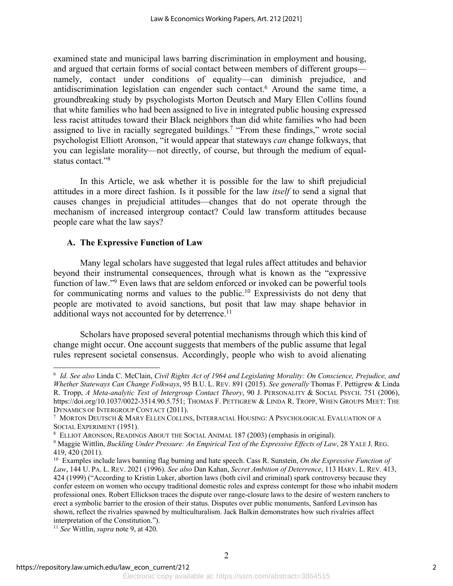examined state and municipal laws barring discrimination in employment and housing, and argued that certain forms of social contact between members of different groups namely, contact under conditions of equality—can diminish prejudice, and antidiscrimination legislation can engender such contact.<sup>6</sup> Around the same time, a groundbreaking study by psychologists Morton Deutsch and Mary Ellen Collins found that white families who had been assigned to live in integrated public housing expressed less racist attitudes toward their Black neighbors than did white families who had been assigned to live in racially segregated buildings.7 "From these findings," wrote social psychologist Elliott Aronson, "it would appear that stateways *can* change folkways, that you can legislate morality—not directly, of course, but through the medium of equalstatus contact."8

In this Article, we ask whether it is possible for the law to shift prejudicial attitudes in a more direct fashion. Is it possible for the law *itself* to send a signal that causes changes in prejudicial attitudes—changes that do not operate through the mechanism of increased intergroup contact? Could law transform attitudes because people care what the law says?

### **A. The Expressive Function of Law**

Many legal scholars have suggested that legal rules affect attitudes and behavior beyond their instrumental consequences, through what is known as the "expressive function of law."9 Even laws that are seldom enforced or invoked can be powerful tools for communicating norms and values to the public.10 Expressivists do not deny that people are motivated to avoid sanctions, but posit that law may shape behavior in additional ways not accounted for by deterrence.<sup>11</sup>

Scholars have proposed several potential mechanisms through which this kind of change might occur. One account suggests that members of the public assume that legal rules represent societal consensus. Accordingly, people who wish to avoid alienating

<sup>6</sup> *Id. See also* Linda C. McClain, *Civil Rights Act of 1964 and Legislating Morality: On Conscience, Prejudice, and Whether Stateways Can Change Folkways*, 95 B.U. L. REV. 891 (2015). *See generally* Thomas F. Pettigrew & Linda R. Tropp, *A Meta-analytic Test of Intergroup Contact Theory*, 90 J. PERSONALITY & SOCIAL PSYCH. 751 (2006), https://doi.org/10.1037/0022-3514.90.5.751; THOMAS F. PETTIGREW & LINDA R. TROPP, WHEN GROUPS MEET: THE DYNAMICS OF INTERGROUP CONTACT (2011).

<sup>7</sup> MORTON DEUTSCH & MARY ELLEN COLLINS, INTERRACIAL HOUSING: A PSYCHOLOGICAL EVALUATION OF A SOCIAL EXPERIMENT (1951).

<sup>8</sup> ELLIOT ARONSON, READINGS ABOUT THE SOCIAL ANIMAL 187 (2003) (emphasis in original).

<sup>9</sup> Maggie Wittlin, *Buckling Under Pressure: An Empirical Test of the Expressive Effects of Law*, 28 YALE J. REG. 419, 420 (2011).

<sup>10</sup> Examples include laws banning flag burning and hate speech. Cass R. Sunstein, *On the Expressive Function of Law*, 144 U. PA. L. REV. 2021 (1996). *See also* Dan Kahan, *Secret Ambition of Deterrence*, 113 HARV. L. REV. 413, 424 (1999) ("According to Kristin Luker, abortion laws (both civil and criminal) spark controversy because they confer esteem on women who occupy traditional domestic roles and express contempt for those who inhabit modern professional ones. Robert Ellickson traces the dispute over range-closure laws to the desire of western ranchers to erect a symbolic barrier to the erosion of their status. Disputes over public monuments, Sanford Levinson has shown, reflect the rivalries spawned by multiculturalism. Jack Balkin demonstrates how such rivalries affect interpretation of the Constitution.").

<sup>11</sup> *See* Wittlin, *supra* note 9, at 420.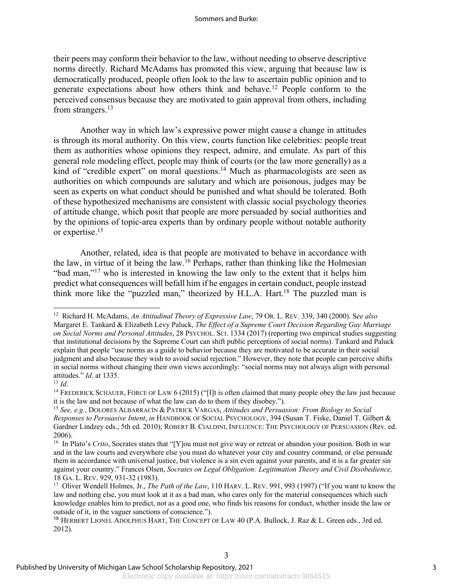their peers may conform their behavior to the law, without needing to observe descriptive norms directly. Richard McAdams has promoted this view, arguing that because law is democratically produced, people often look to the law to ascertain public opinion and to generate expectations about how others think and behave.12 People conform to the perceived consensus because they are motivated to gain approval from others, including from strangers.<sup>13</sup>

Another way in which law's expressive power might cause a change in attitudes is through its moral authority. On this view, courts function like celebrities: people treat them as authorities whose opinions they respect, admire, and emulate. As part of this general role modeling effect, people may think of courts (or the law more generally) as a kind of "credible expert" on moral questions.<sup>14</sup> Much as pharmacologists are seen as authorities on which compounds are salutary and which are poisonous, judges may be seen as experts on what conduct should be punished and what should be tolerated. Both of these hypothesized mechanisms are consistent with classic social psychology theories of attitude change, which posit that people are more persuaded by social authorities and by the opinions of topic-area experts than by ordinary people without notable authority or expertise.15

Another, related, idea is that people are motivated to behave in accordance with the law, in virtue of it being the law.16 Perhaps, rather than thinking like the Holmesian "bad man,"<sup>17</sup> who is interested in knowing the law only to the extent that it helps him predict what consequences will befall him if he engages in certain conduct, people instead think more like the "puzzled man," theorized by H.L.A. Hart.18 The puzzled man is

<sup>12</sup> Richard H. McAdams, *An Attitudinal Theory of Expressive Law*, 79 OR. L. REV. 339, 340 (2000). S*ee also* Margaret E. Tankard & Elizabeth Levy Paluck, *The Effect of a Supreme Court Decision Regarding Gay Marriage on Social Norms and Personal Attitudes*, 28 PSYCHOL. SCI. 1334 (2017) (reporting two empirical studies suggesting that institutional decisions by the Supreme Court can shift public perceptions of social norms). Tankard and Paluck explain that people "use norms as a guide to behavior because they are motivated to be accurate in their social judgment and also because they wish to avoid social rejection." However, they note that people can perceive shifts in social norms without changing their own views accordingly: "social norms may not always align with personal attitudes." *Id*. at 1335.

<sup>&</sup>lt;sup>13</sup> *Id.* 14 FREDERICK SCHAUER, FORCE OF LAW 6 (2015) ("[I]t is often claimed that many people obey the law just because it is the law and not because of what the law can do to them if they disobey.").

<sup>15</sup> *See, e.g.*, DOLORES ALBARRACÍN & PATRICK VARGAS, *Attitudes and Persuasion: From Biology to Social Responses to Persuasive Intent*, *in* HANDBOOK OF SOCIAL PSYCHOLOGY, 394 (Susan T. Fiske, Daniel T. Gilbert & Gardner Lindzey eds., 5th ed. 2010); ROBERT B. CIALDINI, INFLUENCE: THE PSYCHOLOGY OF PERSUASION (Rev. ed. 2006).

<sup>&</sup>lt;sup>16</sup> In Plato's *Crito*, Socrates states that "[Y]ou must not give way or retreat or abandon your position. Both in war and in the law courts and everywhere else you must do whatever your city and country command, or else persuade them in accordance with universal justice, but violence is a sin even against your parents, and it is a far greater sin against your country." Frances Olsen, *Socrates on Legal Obligation: Legitimation Theory and Civil Disobedience,*  18 GA. L. REV. 929, 931-32 (1983).

<sup>&</sup>lt;sup>17</sup> Oliver Wendell Holmes, Jr., *The Path of the Law*, 110 HARV. L. REV. 991, 993 (1997) ("If you want to know the law and nothing else, you must look at it as a bad man, who cares only for the material consequences which such knowledge enables him to predict, not as a good one, who finds his reasons for conduct, whether inside the law or outside of it, in the vaguer sanctions of conscience.").

<sup>&</sup>lt;sup>18</sup> HERBERT LIONEL ADOLPHUS HART, THE CONCEPT OF LAW 40 (P.A. Bullock, J. Raz & L. Green eds., 3rd ed. 2012).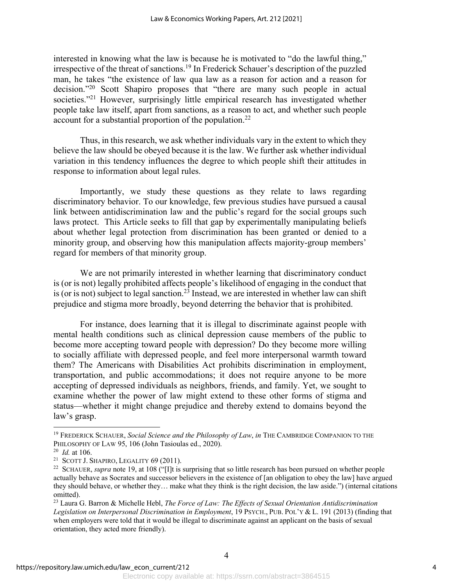interested in knowing what the law is because he is motivated to "do the lawful thing," irrespective of the threat of sanctions.<sup>19</sup> In Frederick Schauer's description of the puzzled man, he takes "the existence of law qua law as a reason for action and a reason for decision."20 Scott Shapiro proposes that "there are many such people in actual societies."<sup>21</sup> However, surprisingly little empirical research has investigated whether people take law itself, apart from sanctions, as a reason to act, and whether such people account for a substantial proportion of the population.<sup>22</sup>

Thus, in this research, we ask whether individuals vary in the extent to which they believe the law should be obeyed because it is the law. We further ask whether individual variation in this tendency influences the degree to which people shift their attitudes in response to information about legal rules.

Importantly, we study these questions as they relate to laws regarding discriminatory behavior. To our knowledge, few previous studies have pursued a causal link between antidiscrimination law and the public's regard for the social groups such laws protect. This Article seeks to fill that gap by experimentally manipulating beliefs about whether legal protection from discrimination has been granted or denied to a minority group, and observing how this manipulation affects majority-group members' regard for members of that minority group.

We are not primarily interested in whether learning that discriminatory conduct is (or is not) legally prohibited affects people's likelihood of engaging in the conduct that is (or is not) subject to legal sanction.<sup>23</sup> Instead, we are interested in whether law can shift prejudice and stigma more broadly, beyond deterring the behavior that is prohibited.

For instance, does learning that it is illegal to discriminate against people with mental health conditions such as clinical depression cause members of the public to become more accepting toward people with depression? Do they become more willing to socially affiliate with depressed people, and feel more interpersonal warmth toward them? The Americans with Disabilities Act prohibits discrimination in employment, transportation, and public accommodations; it does not require anyone to be more accepting of depressed individuals as neighbors, friends, and family. Yet, we sought to examine whether the power of law might extend to these other forms of stigma and status—whether it might change prejudice and thereby extend to domains beyond the law's grasp.

<sup>19</sup> FREDERICK SCHAUER, *Social Science and the Philosophy of Law*, *in* THE CAMBRIDGE COMPANION TO THE PHILOSOPHY OF LAW 95, 106 (John Tasioulas ed., 2020).

<sup>20</sup> *Id.* at 106.

<sup>&</sup>lt;sup>21</sup> SCOTT J. SHAPIRO, LEGALITY  $69$  (2011).

<sup>&</sup>lt;sup>22</sup> SCHAUER, *supra* note 19, at 108 ("[I]t is surprising that so little research has been pursued on whether people actually behave as Socrates and successor believers in the existence of [an obligation to obey the law] have argued they should behave, or whether they… make what they think is the right decision, the law aside.") (internal citations omitted).

<sup>23</sup> Laura G. Barron & Michelle Hebl, *The Force of Law: The Effects of Sexual Orientation Antidiscrimination Legislation on Interpersonal Discrimination in Employment*, 19 PSYCH., PUB. POL'Y & L. 191 (2013) (finding that when employers were told that it would be illegal to discriminate against an applicant on the basis of sexual orientation, they acted more friendly).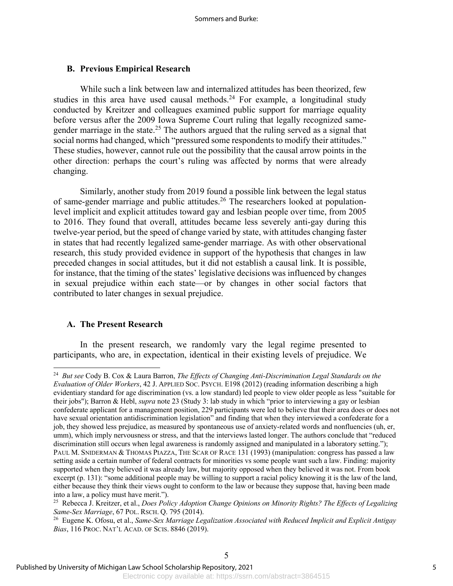### **B. Previous Empirical Research**

While such a link between law and internalized attitudes has been theorized, few studies in this area have used causal methods.<sup>24</sup> For example, a longitudinal study conducted by Kreitzer and colleagues examined public support for marriage equality before versus after the 2009 Iowa Supreme Court ruling that legally recognized samegender marriage in the state.<sup>25</sup> The authors argued that the ruling served as a signal that social norms had changed, which "pressured some respondents to modify their attitudes." These studies, however, cannot rule out the possibility that the causal arrow points in the other direction: perhaps the court's ruling was affected by norms that were already changing.

Similarly, another study from 2019 found a possible link between the legal status of same-gender marriage and public attitudes.26 The researchers looked at populationlevel implicit and explicit attitudes toward gay and lesbian people over time, from 2005 to 2016. They found that overall, attitudes became less severely anti-gay during this twelve-year period, but the speed of change varied by state, with attitudes changing faster in states that had recently legalized same-gender marriage. As with other observational research, this study provided evidence in support of the hypothesis that changes in law preceded changes in social attitudes, but it did not establish a causal link. It is possible, for instance, that the timing of the states' legislative decisions was influenced by changes in sexual prejudice within each state—or by changes in other social factors that contributed to later changes in sexual prejudice.

#### **A. The Present Research**

In the present research, we randomly vary the legal regime presented to participants, who are, in expectation, identical in their existing levels of prejudice. We

<sup>24</sup> *But see* Cody B. Cox & Laura Barron, *The Effects of Changing Anti-Discrimination Legal Standards on the Evaluation of Older Workers*, 42 J. APPLIED SOC. PSYCH. E198 (2012) (reading information describing a high evidentiary standard for age discrimination (vs. a low standard) led people to view older people as less "suitable for their jobs"); Barron & Hebl, *supra* note 23 (Study 3: lab study in which "prior to interviewing a gay or lesbian confederate applicant for a management position, 229 participants were led to believe that their area does or does not have sexual orientation antidiscrimination legislation" and finding that when they interviewed a confederate for a job, they showed less prejudice, as measured by spontaneous use of anxiety-related words and nonfluencies (uh, er, umm), which imply nervousness or stress, and that the interviews lasted longer. The authors conclude that "reduced discrimination still occurs when legal awareness is randomly assigned and manipulated in a laboratory setting."); PAUL M. SNIDERMAN & THOMAS PIAZZA, THE SCAR OF RACE 131 (1993) (manipulation: congress has passed a law setting aside a certain number of federal contracts for minorities vs some people want such a law. Finding: majority supported when they believed it was already law, but majority opposed when they believed it was not. From book excerpt (p. 131): "some additional people may be willing to support a racial policy knowing it is the law of the land, either because they think their views ought to conform to the law or because they suppose that, having been made into a law, a policy must have merit.").

<sup>25</sup> Rebecca J. Kreitzer, et al., *Does Policy Adoption Change Opinions on Minority Rights? The Effects of Legalizing Same-Sex Marriage*, 67 POL. RSCH. Q. 795 (2014).

<sup>26</sup> Eugene K. Ofosu, et al., *Same-Sex Marriage Legalization Associated with Reduced Implicit and Explicit Antigay Bias*, 116 PROC. NAT'L ACAD. OF SCIS. 8846 (2019).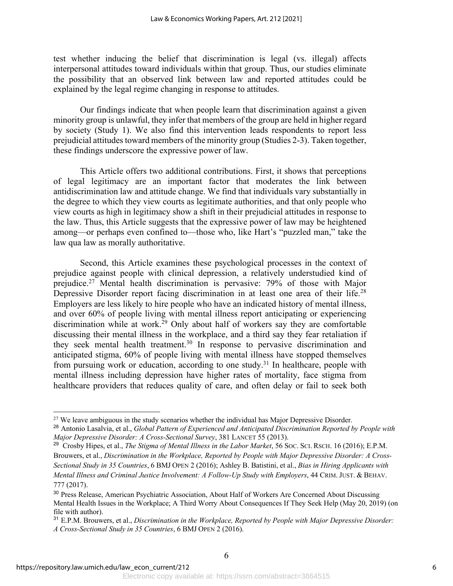test whether inducing the belief that discrimination is legal (vs. illegal) affects interpersonal attitudes toward individuals within that group. Thus, our studies eliminate the possibility that an observed link between law and reported attitudes could be explained by the legal regime changing in response to attitudes.

Our findings indicate that when people learn that discrimination against a given minority group is unlawful, they infer that members of the group are held in higher regard by society (Study 1). We also find this intervention leads respondents to report less prejudicial attitudes toward members of the minority group (Studies 2-3). Taken together, these findings underscore the expressive power of law.

This Article offers two additional contributions. First, it shows that perceptions of legal legitimacy are an important factor that moderates the link between antidiscrimination law and attitude change. We find that individuals vary substantially in the degree to which they view courts as legitimate authorities, and that only people who view courts as high in legitimacy show a shift in their prejudicial attitudes in response to the law. Thus, this Article suggests that the expressive power of law may be heightened among—or perhaps even confined to—those who, like Hart's "puzzled man," take the law qua law as morally authoritative.

Second, this Article examines these psychological processes in the context of prejudice against people with clinical depression, a relatively understudied kind of prejudice.27 Mental health discrimination is pervasive: 79% of those with Major Depressive Disorder report facing discrimination in at least one area of their life.<sup>28</sup> Employers are less likely to hire people who have an indicated history of mental illness, and over 60% of people living with mental illness report anticipating or experiencing discrimination while at work. <sup>29</sup> Only about half of workers say they are comfortable discussing their mental illness in the workplace, and a third say they fear retaliation if they seek mental health treatment. <sup>30</sup> In response to pervasive discrimination and anticipated stigma, 60% of people living with mental illness have stopped themselves from pursuing work or education, according to one study.<sup>31</sup> In healthcare, people with mental illness including depression have higher rates of mortality, face stigma from healthcare providers that reduces quality of care, and often delay or fail to seek both

<sup>&</sup>lt;sup>27</sup> We leave ambiguous in the study scenarios whether the individual has Major Depressive Disorder.

<sup>28</sup> Antonio Lasalvia, et al., *Global Pattern of Experienced and Anticipated Discrimination Reported by People with Major Depressive Disorder: A Cross-Sectional Survey*, 381 LANCET 55 (2013).

<sup>&</sup>lt;sup>29</sup> Crosby Hipes, et al., *The Stigma of Mental Illness in the Labor Market*, 56 Soc. Sci. Rsch. 16 (2016); E.P.M. Brouwers, et al., *Discrimination in the Workplace, Reported by People with Major Depressive Disorder: A Cross-Sectional Study in 35 Countries*, 6 BMJ OPEN 2 (2016); Ashley B. Batistini, et al., *Bias in Hiring Applicants with Mental Illness and Criminal Justice Involvement: A Follow-Up Study with Employers*, 44 CRIM. JUST. & BEHAV. 777 (2017).

<sup>30</sup> Press Release, American Psychiatric Association, About Half of Workers Are Concerned About Discussing Mental Health Issues in the Workplace; A Third Worry About Consequences If They Seek Help (May 20, 2019) (on file with author).

<sup>31</sup> E.P.M. Brouwers, et al., *Discrimination in the Workplace, Reported by People with Major Depressive Disorder: A Cross-Sectional Study in 35 Countries*, 6 BMJ OPEN 2 (2016).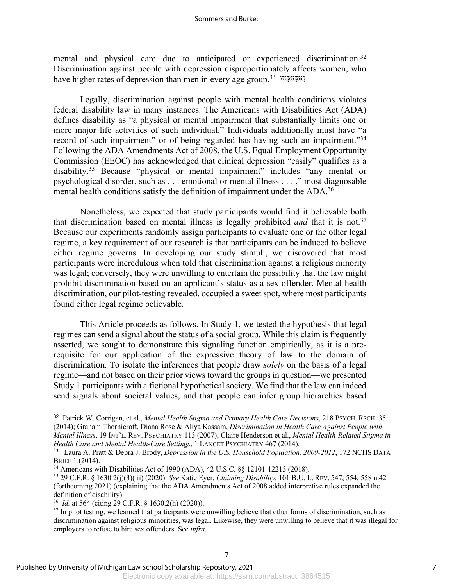#### Sommers and Burke:

mental and physical care due to anticipated or experienced discrimination.<sup>32</sup> Discrimination against people with depression disproportionately affects women, who have higher rates of depression than men in every age group.<sup>33</sup>  $[68,66]$ 

Legally, discrimination against people with mental health conditions violates federal disability law in many instances. The Americans with Disabilities Act (ADA) defines disability as "a physical or mental impairment that substantially limits one or more major life activities of such individual." Individuals additionally must have "a record of such impairment" or of being regarded has having such an impairment."<sup>34</sup> Following the ADA Amendments Act of 2008, the U.S. Equal Employment Opportunity Commission (EEOC) has acknowledged that clinical depression "easily" qualifies as a disability.35 Because "physical or mental impairment" includes "any mental or psychological disorder, such as . . . emotional or mental illness . . . ," most diagnosable mental health conditions satisfy the definition of impairment under the ADA.<sup>36</sup>

Nonetheless, we expected that study participants would find it believable both that discrimination based on mental illness is legally prohibited *and* that it is not.37 Because our experiments randomly assign participants to evaluate one or the other legal regime, a key requirement of our research is that participants can be induced to believe either regime governs. In developing our study stimuli, we discovered that most participants were incredulous when told that discrimination against a religious minority was legal; conversely, they were unwilling to entertain the possibility that the law might prohibit discrimination based on an applicant's status as a sex offender. Mental health discrimination, our pilot-testing revealed, occupied a sweet spot, where most participants found either legal regime believable.

This Article proceeds as follows. In Study 1, we tested the hypothesis that legal regimes can send a signal about the status of a social group. While this claim is frequently asserted, we sought to demonstrate this signaling function empirically, as it is a prerequisite for our application of the expressive theory of law to the domain of discrimination. To isolate the inferences that people draw *solely* on the basis of a legal regime—and not based on their prior views toward the groups in question—we presented Study 1 participants with a fictional hypothetical society. We find that the law can indeed send signals about societal values, and that people can infer group hierarchies based

<sup>32</sup> Patrick W. Corrigan, et al., *Mental Health Stigma and Primary Health Care Decisions*, 218 PSYCH. RSCH. 35 (2014); Graham Thornicroft, Diana Rose & Aliya Kassam, *Discrimination in Health Care Against People with Mental Illness*, 19 INT'L. REV. PSYCHIATRY 113 (2007); Claire Henderson et al., *Mental Health-Related Stigma in Health Care and Mental Health-Care Settings*, 1 LANCET PSYCHIATRY 467 (2014).

<sup>33</sup> Laura A. Pratt & Debra J. Brody, *Depression in the U.S. Household Population, 2009-2012*, 172 NCHS DATA BRIEF 1 (2014).

<sup>34</sup> Americans with Disabilities Act of 1990 (ADA), 42 U.S.C. §§ 12101-12213 (2018).

<sup>35</sup> 29 C.F.R. § 1630.2(j)(3)(iii) (2020). *See* Katie Eyer, *Claiming Disability*, 101 B.U. L. REV. 547, 554, 558 n.42 (forthcoming 2021) (explaining that the ADA Amendments Act of 2008 added interpretive rules expanded the definition of disability).

<sup>36</sup> *Id.* at 564 (citing 29 C.F.R. § 1630.2(h) (2020)).

 $37$  In pilot testing, we learned that participants were unwilling believe that other forms of discrimination, such as discrimination against religious minorities, was legal. Likewise, they were unwilling to believe that it was illegal for employers to refuse to hire sex offenders. See *infra*.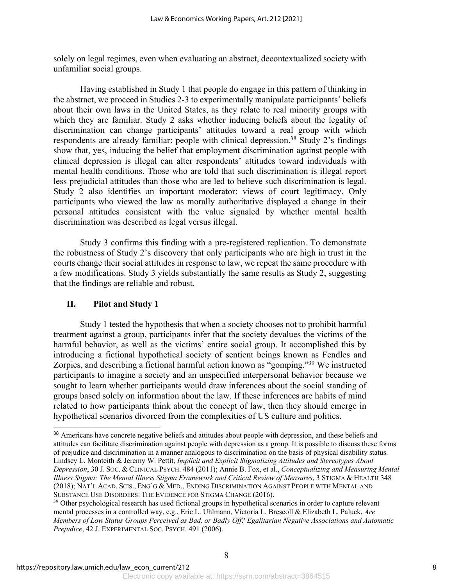solely on legal regimes, even when evaluating an abstract, decontextualized society with unfamiliar social groups.

Having established in Study 1 that people do engage in this pattern of thinking in the abstract, we proceed in Studies 2-3 to experimentally manipulate participants' beliefs about their own laws in the United States, as they relate to real minority groups with which they are familiar. Study 2 asks whether inducing beliefs about the legality of discrimination can change participants' attitudes toward a real group with which respondents are already familiar: people with clinical depression.<sup>38</sup> Study 2's findings show that, yes, inducing the belief that employment discrimination against people with clinical depression is illegal can alter respondents' attitudes toward individuals with mental health conditions. Those who are told that such discrimination is illegal report less prejudicial attitudes than those who are led to believe such discrimination is legal. Study 2 also identifies an important moderator: views of court legitimacy. Only participants who viewed the law as morally authoritative displayed a change in their personal attitudes consistent with the value signaled by whether mental health discrimination was described as legal versus illegal.

Study 3 confirms this finding with a pre-registered replication. To demonstrate the robustness of Study 2's discovery that only participants who are high in trust in the courts change their social attitudes in response to law, we repeat the same procedure with a few modifications. Study 3 yields substantially the same results as Study 2, suggesting that the findings are reliable and robust.

### **II. Pilot and Study 1**

Study 1 tested the hypothesis that when a society chooses not to prohibit harmful treatment against a group, participants infer that the society devalues the victims of the harmful behavior, as well as the victims' entire social group. It accomplished this by introducing a fictional hypothetical society of sentient beings known as Fendles and Zorpies, and describing a fictional harmful action known as "gomping."39 We instructed participants to imagine a society and an unspecified interpersonal behavior because we sought to learn whether participants would draw inferences about the social standing of groups based solely on information about the law. If these inferences are habits of mind related to how participants think about the concept of law, then they should emerge in hypothetical scenarios divorced from the complexities of US culture and politics.

<sup>&</sup>lt;sup>38</sup> Americans have concrete negative beliefs and attitudes about people with depression, and these beliefs and attitudes can facilitate discrimination against people with depression as a group. It is possible to discuss these forms of prejudice and discrimination in a manner analogous to discrimination on the basis of physical disability status. Lindsey L. Monteith & Jeremy W. Pettit, *Implicit and Explicit Stigmatizing Attitudes and Stereotypes About Depression*, 30 J. SOC. & CLINICAL PSYCH. 484 (2011); Annie B. Fox, et al., *Conceptualizing and Measuring Mental Illness Stigma: The Mental Illness Stigma Framework and Critical Review of Measures*, 3 STIGMA & HEALTH 348 (2018); NAT'L ACAD. SCIS., ENG'G & MED., ENDING DISCRIMINATION AGAINST PEOPLE WITH MENTAL AND SUBSTANCE USE DISORDERS: THE EVIDENCE FOR STIGMA CHANGE (2016).

<sup>&</sup>lt;sup>39</sup> Other psychological research has used fictional groups in hypothetical scenarios in order to capture relevant mental processes in a controlled way, e.g., Eric L. Uhlmann, Victoria L. Brescoll & Elizabeth L. Paluck, *Are Members of Low Status Groups Perceived as Bad, or Badly Off? Egalitarian Negative Associations and Automatic Prejudice*, 42 J. EXPERIMENTAL SOC. PSYCH. 491 (2006).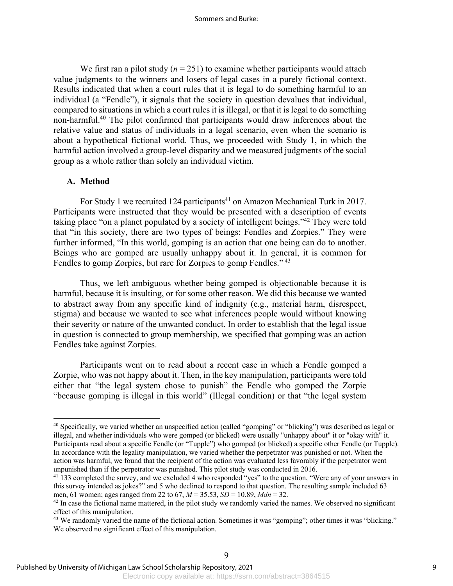We first ran a pilot study  $(n = 251)$  to examine whether participants would attach value judgments to the winners and losers of legal cases in a purely fictional context. Results indicated that when a court rules that it is legal to do something harmful to an individual (a "Fendle"), it signals that the society in question devalues that individual, compared to situations in which a court rules it is illegal, or that it is legal to do something non-harmful.40 The pilot confirmed that participants would draw inferences about the relative value and status of individuals in a legal scenario, even when the scenario is about a hypothetical fictional world. Thus, we proceeded with Study 1, in which the harmful action involved a group-level disparity and we measured judgments of the social group as a whole rather than solely an individual victim.

### **A. Method**

For Study 1 we recruited 124 participants<sup>41</sup> on Amazon Mechanical Turk in 2017. Participants were instructed that they would be presented with a description of events taking place "on a planet populated by a society of intelligent beings."42 They were told that "in this society, there are two types of beings: Fendles and Zorpies." They were further informed, "In this world, gomping is an action that one being can do to another. Beings who are gomped are usually unhappy about it. In general, it is common for Fendles to gomp Zorpies, but rare for Zorpies to gomp Fendles." <sup>43</sup>

Thus, we left ambiguous whether being gomped is objectionable because it is harmful, because it is insulting, or for some other reason. We did this because we wanted to abstract away from any specific kind of indignity (e.g., material harm, disrespect, stigma) and because we wanted to see what inferences people would without knowing their severity or nature of the unwanted conduct. In order to establish that the legal issue in question is connected to group membership, we specified that gomping was an action Fendles take against Zorpies.

Participants went on to read about a recent case in which a Fendle gomped a Zorpie, who was not happy about it. Then, in the key manipulation, participants were told either that "the legal system chose to punish" the Fendle who gomped the Zorpie "because gomping is illegal in this world" (Illegal condition) or that "the legal system

<sup>40</sup> Specifically, we varied whether an unspecified action (called "gomping" or "blicking") was described as legal or illegal, and whether individuals who were gomped (or blicked) were usually "unhappy about" it or "okay with" it. Participants read about a specific Fendle (or "Tupple") who gomped (or blicked) a specific other Fendle (or Tupple). In accordance with the legality manipulation, we varied whether the perpetrator was punished or not. When the action was harmful, we found that the recipient of the action was evaluated less favorably if the perpetrator went unpunished than if the perpetrator was punished. This pilot study was conducted in 2016.

<sup>&</sup>lt;sup>41</sup> 133 completed the survey, and we excluded 4 who responded "yes" to the question, "Were any of your answers in this survey intended as jokes?" and 5 who declined to respond to that question. The resulting sample included 63 men, 61 women; ages ranged from 22 to 67, *M* = 35.53, *SD* = 10.89, *Mdn* = 32.

 $42$  In case the fictional name mattered, in the pilot study we randomly varied the names. We observed no significant effect of this manipulation.

<sup>&</sup>lt;sup>43</sup> We randomly varied the name of the fictional action. Sometimes it was "gomping"; other times it was "blicking." We observed no significant effect of this manipulation.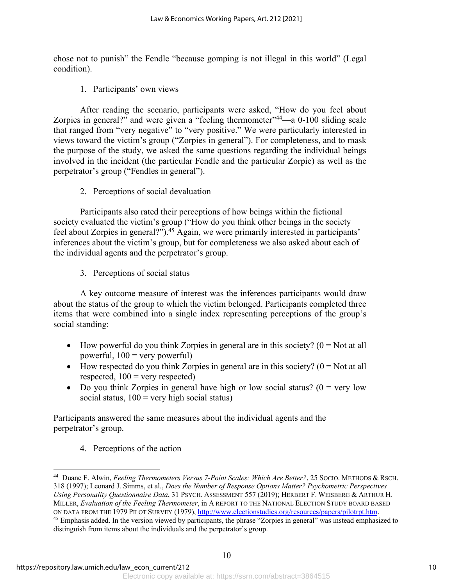chose not to punish" the Fendle "because gomping is not illegal in this world" (Legal condition).

1. Participants' own views

After reading the scenario, participants were asked, "How do you feel about Zorpies in general?" and were given a "feeling thermometer"<sup>44</sup>—a 0-100 sliding scale that ranged from "very negative" to "very positive." We were particularly interested in views toward the victim's group ("Zorpies in general"). For completeness, and to mask the purpose of the study, we asked the same questions regarding the individual beings involved in the incident (the particular Fendle and the particular Zorpie) as well as the perpetrator's group ("Fendles in general").

2. Perceptions of social devaluation

Participants also rated their perceptions of how beings within the fictional society evaluated the victim's group ("How do you think other beings in the society feel about Zorpies in general?").<sup>45</sup> Again, we were primarily interested in participants' inferences about the victim's group, but for completeness we also asked about each of the individual agents and the perpetrator's group.

3. Perceptions of social status

A key outcome measure of interest was the inferences participants would draw about the status of the group to which the victim belonged. Participants completed three items that were combined into a single index representing perceptions of the group's social standing:

- How powerful do you think Zorpies in general are in this society?  $(0 = Not at all$ powerful,  $100 =$  very powerful)
- How respected do you think Zorpies in general are in this society?  $(0 = Not at all$ respected,  $100 =$  very respected)
- Do you think Zorpies in general have high or low social status? ( $0 = \text{very low}$ social status,  $100 =$  very high social status)

Participants answered the same measures about the individual agents and the perpetrator's group.

4. Perceptions of the action

<sup>44</sup> Duane F. Alwin, *Feeling Thermometers Versus 7-Point Scales: Which Are Better?*, 25 SOCIO. METHODS & RSCH. 318 (1997); Leonard J. Simms, et al., *Does the Number of Response Options Matter? Psychometric Perspectives Using Personality Questionnaire Data*, 31 PSYCH. ASSESSMENT 557 (2019); HERBERT F. WEISBERG & ARTHUR H. MILLER, *Evaluation of the Feeling Thermometer*, in A REPORT TO THE NATIONAL ELECTION STUDY BOARD BASED ON DATA FROM THE 1979 PILOT SURVEY (1979), http://www.electionstudies.org/resources/papers/pilotrpt.htm. <sup>45</sup> Emphasis added. In the version viewed by participants, the phrase "Zorpies in general" was instead emphasized to distinguish from items about the individuals and the perpetrator's group.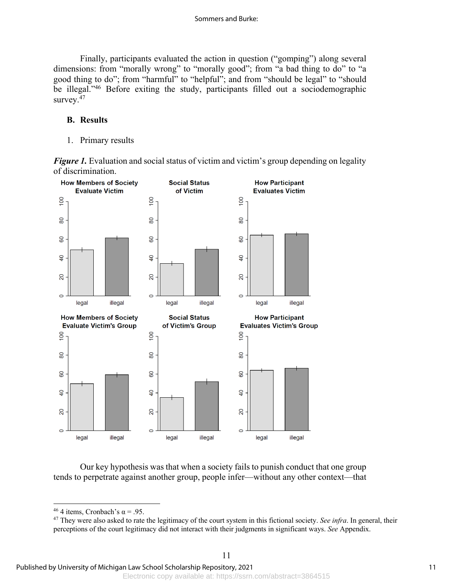Finally, participants evaluated the action in question ("gomping") along several dimensions: from "morally wrong" to "morally good"; from "a bad thing to do" to "a good thing to do"; from "harmful" to "helpful"; and from "should be legal" to "should be illegal."<sup>46</sup> Before exiting the study, participants filled out a sociodemographic survey.<sup>47</sup>

### **B. Results**

1. Primary results

*Figure 1*. Evaluation and social status of victim and victim's group depending on legality of discrimination.



Our key hypothesis was that when a society fails to punish conduct that one group tends to perpetrate against another group, people infer—without any other context—that

<sup>&</sup>lt;sup>46</sup> 4 items, Cronbach's  $\alpha$  = .95.

<sup>47</sup> They were also asked to rate the legitimacy of the court system in this fictional society. *See infra*. In general, their perceptions of the court legitimacy did not interact with their judgments in significant ways. *See* Appendix.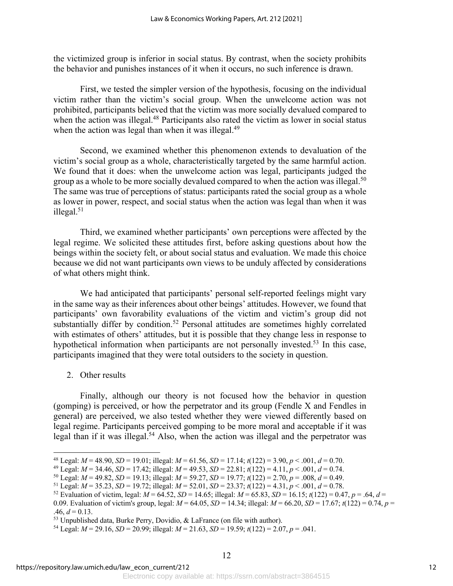the victimized group is inferior in social status. By contrast, when the society prohibits the behavior and punishes instances of it when it occurs, no such inference is drawn.

First, we tested the simpler version of the hypothesis, focusing on the individual victim rather than the victim's social group. When the unwelcome action was not prohibited, participants believed that the victim was more socially devalued compared to when the action was illegal.<sup>48</sup> Participants also rated the victim as lower in social status when the action was legal than when it was illegal.<sup>49</sup>

Second, we examined whether this phenomenon extends to devaluation of the victim's social group as a whole, characteristically targeted by the same harmful action. We found that it does: when the unwelcome action was legal, participants judged the group as a whole to be more socially devalued compared to when the action was illegal.<sup>50</sup> The same was true of perceptions of status: participants rated the social group as a whole as lower in power, respect, and social status when the action was legal than when it was illegal.<sup>51</sup>

Third, we examined whether participants' own perceptions were affected by the legal regime. We solicited these attitudes first, before asking questions about how the beings within the society felt, or about social status and evaluation. We made this choice because we did not want participants own views to be unduly affected by considerations of what others might think.

We had anticipated that participants' personal self-reported feelings might vary in the same way as their inferences about other beings' attitudes. However, we found that participants' own favorability evaluations of the victim and victim's group did not substantially differ by condition.<sup>52</sup> Personal attitudes are sometimes highly correlated with estimates of others' attitudes, but it is possible that they change less in response to hypothetical information when participants are not personally invested.<sup>53</sup> In this case, participants imagined that they were total outsiders to the society in question.

2. Other results

Finally, although our theory is not focused how the behavior in question (gomping) is perceived, or how the perpetrator and its group (Fendle X and Fendles in general) are perceived, we also tested whether they were viewed differently based on legal regime. Participants perceived gomping to be more moral and acceptable if it was legal than if it was illegal.<sup>54</sup> Also, when the action was illegal and the perpetrator was

<sup>&</sup>lt;sup>48</sup> Legal:  $M = 48.90$ ,  $SD = 19.01$ ; illegal:  $M = 61.56$ ,  $SD = 17.14$ ;  $t(122) = 3.90$ ,  $p < .001$ ,  $d = 0.70$ .

<sup>&</sup>lt;sup>49</sup> Legal:  $M = 34.46$ ,  $SD = 17.42$ ; illegal:  $M = 49.53$ ,  $SD = 22.81$ ;  $t(122) = 4.11$ ,  $p < .001$ ,  $d = 0.74$ .

<sup>50</sup> Legal: *M* = 49.82, *SD* = 19.13; illegal: *M* = 59.27, *SD* = 19.77; *t*(122) = 2.70, *p* = .008, *d* = 0.49.

<sup>51</sup> Legal:  $M = 35.23$ ,  $SD = 19.72$ ; illegal:  $M = 52.01$ ,  $SD = 23.37$ ;  $t(122) = 4.31$ ,  $p < .001$ ,  $d = 0.78$ .

<sup>&</sup>lt;sup>52</sup> Evaluation of victim, legal:  $M = 64.52$ ,  $SD = 14.65$ ; illegal:  $M = 65.83$ ,  $SD = 16.15$ ;  $t(122) = 0.47$ ,  $p = .64$ ,  $d =$ 0.09. Evaluation of victim's group, legal: *M* = 64.05, *SD* = 14.34; illegal: *M* = 66.20, *SD* = 17.67; *t*(122) = 0.74, *p* =  $.46, d = 0.13.$ 

<sup>&</sup>lt;sup>53</sup> Unpublished data, Burke Perry, Dovidio, & LaFrance (on file with author).<br><sup>54</sup> Legal: *M* = 29.16, *SD* = 20.99; illegal: *M* = 21.63, *SD* = 19.59; *t*(122) = 2.07, *p* = .041.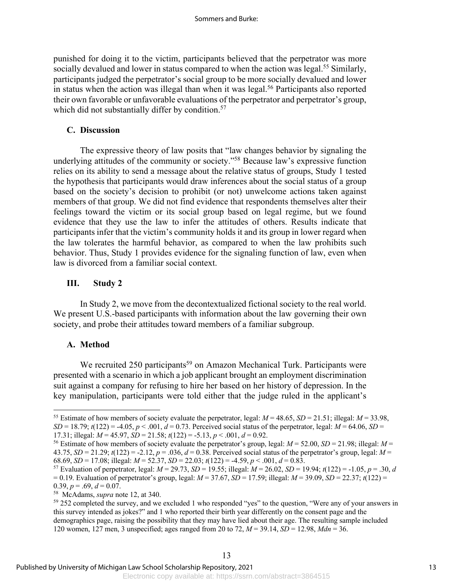punished for doing it to the victim, participants believed that the perpetrator was more socially devalued and lower in status compared to when the action was legal.<sup>55</sup> Similarly, participants judged the perpetrator's social group to be more socially devalued and lower in status when the action was illegal than when it was legal.<sup>56</sup> Participants also reported their own favorable or unfavorable evaluations of the perpetrator and perpetrator's group, which did not substantially differ by condition.<sup>57</sup>

### **C. Discussion**

The expressive theory of law posits that "law changes behavior by signaling the underlying attitudes of the community or society."58 Because law's expressive function relies on its ability to send a message about the relative status of groups, Study 1 tested the hypothesis that participants would draw inferences about the social status of a group based on the society's decision to prohibit (or not) unwelcome actions taken against members of that group. We did not find evidence that respondents themselves alter their feelings toward the victim or its social group based on legal regime, but we found evidence that they use the law to infer the attitudes of others. Results indicate that participants infer that the victim's community holds it and its group in lower regard when the law tolerates the harmful behavior, as compared to when the law prohibits such behavior. Thus, Study 1 provides evidence for the signaling function of law, even when law is divorced from a familiar social context.

### **III. Study 2**

In Study 2, we move from the decontextualized fictional society to the real world. We present U.S.-based participants with information about the law governing their own society, and probe their attitudes toward members of a familiar subgroup.

### **A. Method**

We recruited 250 participants<sup>59</sup> on Amazon Mechanical Turk. Participants were presented with a scenario in which a job applicant brought an employment discrimination suit against a company for refusing to hire her based on her history of depression. In the key manipulation, participants were told either that the judge ruled in the applicant's

<sup>&</sup>lt;sup>55</sup> Estimate of how members of society evaluate the perpetrator, legal:  $M = 48.65$ ,  $SD = 21.51$ ; illegal:  $M = 33.98$ ,  $SD = 18.79$ ;  $t(122) = -4.05$ ,  $p < .001$ ,  $d = 0.73$ . Perceived social status of the perpetrator, legal:  $M = 64.06$ ,  $SD =$ 17.31; illegal:  $M = 45.97$ ,  $SD = 21.58$ ;  $t(122) = -5.13$ ,  $p < .001$ ,  $d = 0.92$ .

<sup>56</sup> Estimate of how members of society evaluate the perpetrator's group, legal: *M* = 52.00, *SD* = 21.98; illegal: *M* = 43.75,  $SD = 21.29$ ;  $t(122) = -2.12$ ,  $p = .036$ ,  $d = 0.38$ . Perceived social status of the perpetrator's group, legal:  $M =$ 68.69, *SD* = 17.08; illegal:  $M = 52.37$ ,  $SD = 22.03$ ;  $t(122) = -4.59$ ,  $p < .001$ ,  $d = 0.83$ .

<sup>57</sup> Evaluation of perpetrator, legal: *M* = 29.73, *SD* = 19.55; illegal: *M* = 26.02, *SD* = 19.94; *t*(122) = -1.05, *p* = .30, *d* = 0.19. Evaluation of perpetrator's group, legal: *M* = 37.67, *SD* = 17.59; illegal: *M* = 39.09, *SD* = 22.37; *t*(122) = 0.39,  $p = .69$ ,  $d = 0.07$ .

<sup>58</sup> McAdams, *supra* note 12, at 340.

<sup>&</sup>lt;sup>59</sup> 252 completed the survey, and we excluded 1 who responded "yes" to the question, "Were any of your answers in this survey intended as jokes?" and 1 who reported their birth year differently on the consent page and the demographics page, raising the possibility that they may have lied about their age. The resulting sample included 120 women, 127 men, 3 unspecified; ages ranged from 20 to 72, *M* = 39.14, *SD* = 12.98, *Mdn* = 36.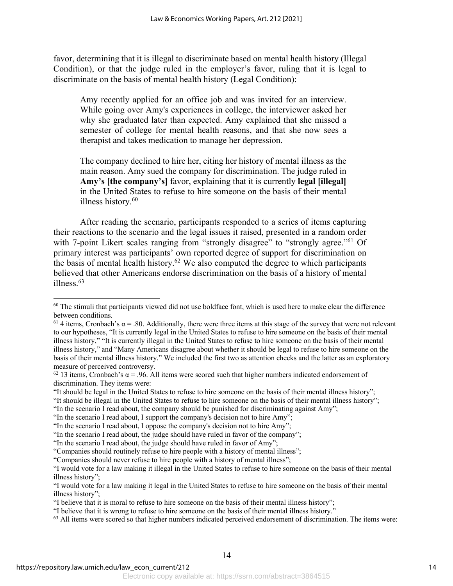favor, determining that it is illegal to discriminate based on mental health history (Illegal Condition), or that the judge ruled in the employer's favor, ruling that it is legal to discriminate on the basis of mental health history (Legal Condition):

Amy recently applied for an office job and was invited for an interview. While going over Amy's experiences in college, the interviewer asked her why she graduated later than expected. Amy explained that she missed a semester of college for mental health reasons, and that she now sees a therapist and takes medication to manage her depression.

The company declined to hire her, citing her history of mental illness as the main reason. Amy sued the company for discrimination. The judge ruled in **Amy's [the company's]** favor, explaining that it is currently **legal [illegal]** in the United States to refuse to hire someone on the basis of their mental illness history.<sup>60</sup>

After reading the scenario, participants responded to a series of items capturing their reactions to the scenario and the legal issues it raised, presented in a random order with 7-point Likert scales ranging from "strongly disagree" to "strongly agree."<sup>61</sup> Of primary interest was participants' own reported degree of support for discrimination on the basis of mental health history.<sup>62</sup> We also computed the degree to which participants believed that other Americans endorse discrimination on the basis of a history of mental illness.63

 $60$  The stimuli that participants viewed did not use boldface font, which is used here to make clear the difference between conditions.

<sup>&</sup>lt;sup>61</sup> 4 items, Cronbach's  $\alpha$  = .80. Additionally, there were three items at this stage of the survey that were not relevant to our hypotheses, "It is currently legal in the United States to refuse to hire someone on the basis of their mental illness history," "It is currently illegal in the United States to refuse to hire someone on the basis of their mental illness history," and "Many Americans disagree about whether it should be legal to refuse to hire someone on the basis of their mental illness history." We included the first two as attention checks and the latter as an exploratory measure of perceived controversy.

<sup>&</sup>lt;sup>62</sup> 13 items, Cronbach's  $\alpha$  = .96. All items were scored such that higher numbers indicated endorsement of discrimination. They items were:

<sup>&</sup>quot;It should be legal in the United States to refuse to hire someone on the basis of their mental illness history";

<sup>&</sup>quot;It should be illegal in the United States to refuse to hire someone on the basis of their mental illness history";

<sup>&</sup>quot;In the scenario I read about, the company should be punished for discriminating against Amy";

<sup>&</sup>quot;In the scenario I read about, I support the company's decision not to hire Amy";

<sup>&</sup>quot;In the scenario I read about, I oppose the company's decision not to hire Amy";

<sup>&</sup>quot;In the scenario I read about, the judge should have ruled in favor of the company";

<sup>&</sup>quot;In the scenario I read about, the judge should have ruled in favor of Amy";

<sup>&</sup>quot;Companies should routinely refuse to hire people with a history of mental illness";

<sup>&</sup>quot;Companies should never refuse to hire people with a history of mental illness";

<sup>&</sup>quot;I would vote for a law making it illegal in the United States to refuse to hire someone on the basis of their mental illness history";

<sup>&</sup>quot;I would vote for a law making it legal in the United States to refuse to hire someone on the basis of their mental illness history";

<sup>&</sup>quot;I believe that it is moral to refuse to hire someone on the basis of their mental illness history";

<sup>&</sup>quot;I believe that it is wrong to refuse to hire someone on the basis of their mental illness history."

<sup>&</sup>lt;sup>63</sup> All items were scored so that higher numbers indicated perceived endorsement of discrimination. The items were: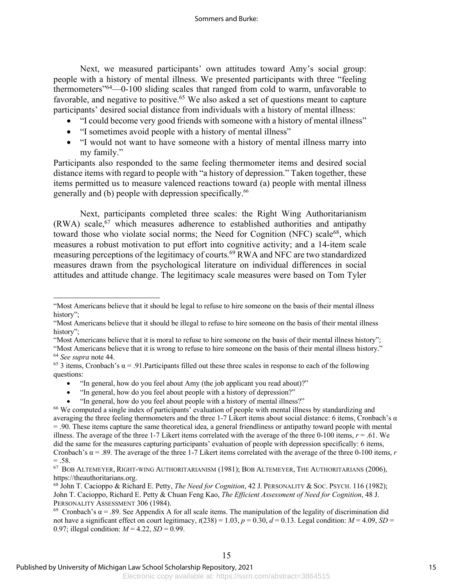Next, we measured participants' own attitudes toward Amy's social group: people with a history of mental illness. We presented participants with three "feeling thermometers"64—0-100 sliding scales that ranged from cold to warm, unfavorable to favorable, and negative to positive.<sup>65</sup> We also asked a set of questions meant to capture participants' desired social distance from individuals with a history of mental illness:

- "I could become very good friends with someone with a history of mental illness"
- "I sometimes avoid people with a history of mental illness"
- "I would not want to have someone with a history of mental illness marry into my family."

Participants also responded to the same feeling thermometer items and desired social distance items with regard to people with "a history of depression." Taken together, these items permitted us to measure valenced reactions toward (a) people with mental illness generally and (b) people with depression specifically.66

Next, participants completed three scales: the Right Wing Authoritarianism  $(RWA)$  scale,<sup>67</sup> which measures adherence to established authorities and antipathy toward those who violate social norms; the Need for Cognition (NFC) scale<sup>68</sup>, which measures a robust motivation to put effort into cognitive activity; and a 14-item scale measuring perceptions of the legitimacy of courts.69 RWA and NFC are two standardized measures drawn from the psychological literature on individual differences in social attitudes and attitude change. The legitimacy scale measures were based on Tom Tyler

"Most Americans believe that it is moral to refuse to hire someone on the basis of their mental illness history"; "Most Americans believe that it is wrong to refuse to hire someone on the basis of their mental illness history." <sup>64</sup> *See supra* note 44.

- "In general, how do you feel about Amy (the job applicant you read about)?"
- "In general, how do you feel about people with a history of depression?"
- "In general, how do you feel about people with a history of mental illness?"

<sup>&</sup>quot;Most Americans believe that it should be legal to refuse to hire someone on the basis of their mental illness history";

<sup>&</sup>quot;Most Americans believe that it should be illegal to refuse to hire someone on the basis of their mental illness history":

<sup>&</sup>lt;sup>65</sup> 3 items, Cronbach's  $\alpha = .91$ . Participants filled out these three scales in response to each of the following questions:

<sup>&</sup>lt;sup>66</sup> We computed a single index of participants' evaluation of people with mental illness by standardizing and averaging the three feeling thermometers and the three 1-7 Likert items about social distance: 6 items, Cronbach's  $\alpha$ = .90. These items capture the same theoretical idea, a general friendliness or antipathy toward people with mental illness. The average of the three 1-7 Likert items correlated with the average of the three 0-100 items,  $r = .61$ . We did the same for the measures capturing participants' evaluation of people with depression specifically: 6 items, Cronbach's  $\alpha$  = .89. The average of the three 1-7 Likert items correlated with the average of the three 0-100 items, *r*  $=.58.$ 

<sup>67</sup> BOB ALTEMEYER, RIGHT-WING AUTHORITARIANISM (1981); BOB ALTEMEYER, THE AUTHORITARIANS (2006), https://theauthoritarians.org.

<sup>68</sup> John T. Cacioppo & Richard E. Petty, *The Need for Cognition*, 42 J. PERSONALITY & SOC. PSYCH. 116 (1982); John T. Cacioppo, Richard E. Petty & Chuan Feng Kao, *The Efficient Assessment of Need for Cognition*, 48 J. PERSONALITY ASSESSMENT 306 (1984).

<sup>&</sup>lt;sup>69</sup> Cronbach's α = .89. See Appendix A for all scale items. The manipulation of the legality of discrimination did not have a significant effect on court legitimacy,  $t(238) = 1.03$ ,  $p = 0.30$ ,  $d = 0.13$ . Legal condition:  $M = 4.09$ ,  $SD =$ 0.97; illegal condition:  $M = 4.22$ ,  $SD = 0.99$ .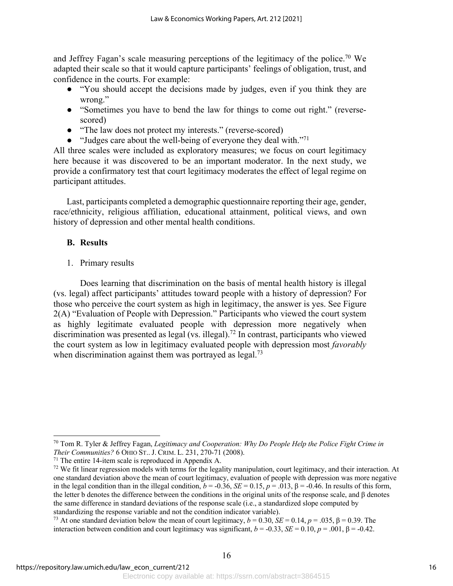and Jeffrey Fagan's scale measuring perceptions of the legitimacy of the police.<sup>70</sup> We adapted their scale so that it would capture participants' feelings of obligation, trust, and confidence in the courts. For example:

- "You should accept the decisions made by judges, even if you think they are wrong."
- "Sometimes you have to bend the law for things to come out right." (reversescored)
- "The law does not protect my interests." (reverse-scored)
- $\bullet$  "Judges care about the well-being of everyone they deal with."<sup>71</sup>

All three scales were included as exploratory measures; we focus on court legitimacy here because it was discovered to be an important moderator. In the next study, we provide a confirmatory test that court legitimacy moderates the effect of legal regime on participant attitudes.

Last, participants completed a demographic questionnaire reporting their age, gender, race/ethnicity, religious affiliation, educational attainment, political views, and own history of depression and other mental health conditions.

### **B. Results**

1. Primary results

Does learning that discrimination on the basis of mental health history is illegal (vs. legal) affect participants' attitudes toward people with a history of depression? For those who perceive the court system as high in legitimacy, the answer is yes. See Figure 2(A) "Evaluation of People with Depression." Participants who viewed the court system as highly legitimate evaluated people with depression more negatively when discrimination was presented as legal (vs. illegal).72 In contrast, participants who viewed the court system as low in legitimacy evaluated people with depression most *favorably* when discrimination against them was portrayed as  $\log a$ .<sup>73</sup>

<sup>70</sup> Tom R. Tyler & Jeffrey Fagan, *Legitimacy and Cooperation: Why Do People Help the Police Fight Crime in Their Communities?* 6 OHIO ST.. J. CRIM. L. 231, 270-71 (2008).

<sup>71</sup> The entire 14-item scale is reproduced in Appendix A.

 $72$  We fit linear regression models with terms for the legality manipulation, court legitimacy, and their interaction. At one standard deviation above the mean of court legitimacy, evaluation of people with depression was more negative in the legal condition than in the illegal condition,  $b = -0.36$ ,  $SE = 0.15$ ,  $p = .013$ ,  $\beta = -0.46$ . In results of this form, the letter b denotes the difference between the conditions in the original units of the response scale, and β denotes the same difference in standard deviations of the response scale (i.e., a standardized slope computed by standardizing the response variable and not the condition indicator variable).

<sup>&</sup>lt;sup>73</sup> At one standard deviation below the mean of court legitimacy,  $b = 0.30$ ,  $SE = 0.14$ ,  $p = .035$ ,  $\beta = 0.39$ . The interaction between condition and court legitimacy was significant,  $b = -0.33$ ,  $SE = 0.10$ ,  $p = .001$ ,  $\beta = -0.42$ .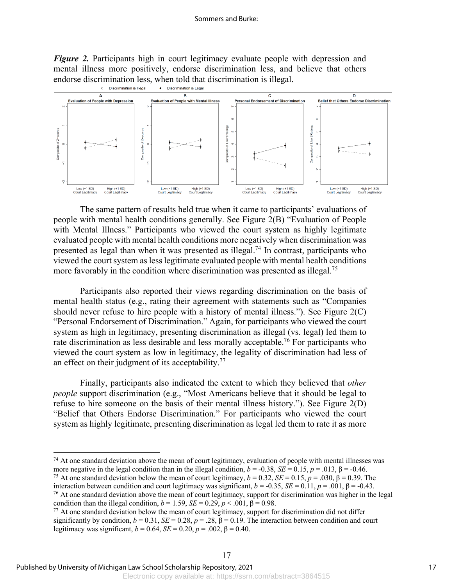*Figure 2.* Participants high in court legitimacy evaluate people with depression and mental illness more positively, endorse discrimination less, and believe that others endorse discrimination less, when told that discrimination is illegal.<br>  $\rightarrow$  Discrimination is Liggal  $\rightarrow$  Discrimination is Legal



The same pattern of results held true when it came to participants' evaluations of people with mental health conditions generally. See Figure 2(B) "Evaluation of People with Mental Illness." Participants who viewed the court system as highly legitimate evaluated people with mental health conditions more negatively when discrimination was presented as legal than when it was presented as illegal.74 In contrast, participants who viewed the court system as less legitimate evaluated people with mental health conditions more favorably in the condition where discrimination was presented as illegal.<sup>75</sup>

Participants also reported their views regarding discrimination on the basis of mental health status (e.g., rating their agreement with statements such as "Companies should never refuse to hire people with a history of mental illness."). See Figure 2(C) "Personal Endorsement of Discrimination." Again, for participants who viewed the court system as high in legitimacy, presenting discrimination as illegal (vs. legal) led them to rate discrimination as less desirable and less morally acceptable.<sup>76</sup> For participants who viewed the court system as low in legitimacy, the legality of discrimination had less of an effect on their judgment of its acceptability.<sup>77</sup>

Finally, participants also indicated the extent to which they believed that *other people* support discrimination (e.g., "Most Americans believe that it should be legal to refuse to hire someone on the basis of their mental illness history."). See Figure 2(D) "Belief that Others Endorse Discrimination." For participants who viewed the court system as highly legitimate, presenting discrimination as legal led them to rate it as more

<sup>75</sup> At one standard deviation below the mean of court legitimacy,  $b = 0.32$ ,  $SE = 0.15$ ,  $p = .030$ ,  $\beta = 0.39$ . The interaction between condition and court legitimacy was significant,  $b = -0.35$ ,  $SE = 0.11$ ,  $p = .001$ ,  $\beta = -0.43$ .

 $74$  At one standard deviation above the mean of court legitimacy, evaluation of people with mental illnesses was more negative in the legal condition than in the illegal condition,  $b = -0.38$ ,  $SE = 0.15$ ,  $p = .013$ ,  $\beta = -0.46$ .

 $76$  At one standard deviation above the mean of court legitimacy, support for discrimination was higher in the legal condition than the illegal condition,  $b = 1.59$ ,  $SE = 0.29$ ,  $p < .001$ ,  $\beta = 0.98$ .

<sup>&</sup>lt;sup>77</sup> At one standard deviation below the mean of court legitimacy, support for discrimination did not differ significantly by condition,  $b = 0.31$ ,  $SE = 0.28$ ,  $p = .28$ ,  $\beta = 0.19$ . The interaction between condition and court legitimacy was significant,  $b = 0.64$ ,  $SE = 0.20$ ,  $p = .002$ ,  $β = 0.40$ .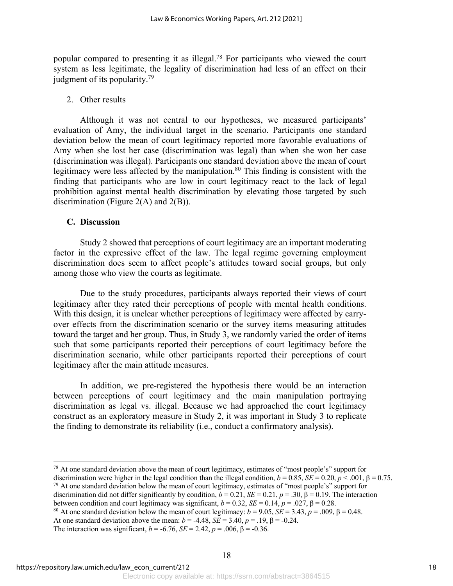popular compared to presenting it as illegal.78 For participants who viewed the court system as less legitimate, the legality of discrimination had less of an effect on their judgment of its popularity.79

### 2. Other results

Although it was not central to our hypotheses, we measured participants' evaluation of Amy, the individual target in the scenario. Participants one standard deviation below the mean of court legitimacy reported more favorable evaluations of Amy when she lost her case (discrimination was legal) than when she won her case (discrimination was illegal). Participants one standard deviation above the mean of court legitimacy were less affected by the manipulation.<sup>80</sup> This finding is consistent with the finding that participants who are low in court legitimacy react to the lack of legal prohibition against mental health discrimination by elevating those targeted by such discrimination (Figure 2(A) and  $2(B)$ ).

### **C. Discussion**

Study 2 showed that perceptions of court legitimacy are an important moderating factor in the expressive effect of the law. The legal regime governing employment discrimination does seem to affect people's attitudes toward social groups, but only among those who view the courts as legitimate.

Due to the study procedures, participants always reported their views of court legitimacy after they rated their perceptions of people with mental health conditions. With this design, it is unclear whether perceptions of legitimacy were affected by carryover effects from the discrimination scenario or the survey items measuring attitudes toward the target and her group. Thus, in Study 3, we randomly varied the order of items such that some participants reported their perceptions of court legitimacy before the discrimination scenario, while other participants reported their perceptions of court legitimacy after the main attitude measures.

In addition, we pre-registered the hypothesis there would be an interaction between perceptions of court legitimacy and the main manipulation portraying discrimination as legal vs. illegal. Because we had approached the court legitimacy construct as an exploratory measure in Study 2, it was important in Study 3 to replicate the finding to demonstrate its reliability (i.e., conduct a confirmatory analysis).

 $79$  At one standard deviation below the mean of court legitimacy, estimates of "most people's" support for

 $^{78}$  At one standard deviation above the mean of court legitimacy, estimates of "most people's" support for discrimination were higher in the legal condition than the illegal condition,  $b = 0.85$ ,  $SE = 0.20$ ,  $p < .001$ ,  $\beta = 0.75$ .

discrimination did not differ significantly by condition,  $b = 0.21$ ,  $SE = 0.21$ ,  $p = .30$ ,  $\beta = 0.19$ . The interaction between condition and court legitimacy was significant,  $b = 0.32$ ,  $SE = 0.14$ ,  $p = .027$ ,  $\beta = 0.28$ .

<sup>&</sup>lt;sup>80</sup> At one standard deviation below the mean of court legitimacy:  $b = 9.05$ , *SE* = 3.43,  $p = .009$ , β = 0.48.

At one standard deviation above the mean:  $b = -4.48$ ,  $SE = 3.40$ ,  $p = .19$ ,  $\beta = -0.24$ .

The interaction was significant,  $b = -6.76$ ,  $SE = 2.42$ ,  $p = .006$ ,  $\beta = -0.36$ .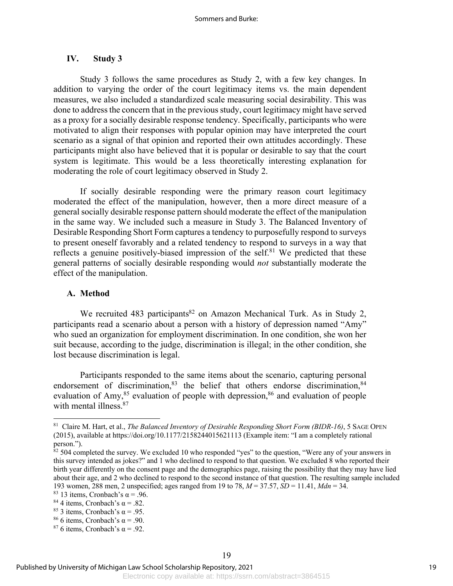#### **IV. Study 3**

Study 3 follows the same procedures as Study 2, with a few key changes. In addition to varying the order of the court legitimacy items vs. the main dependent measures, we also included a standardized scale measuring social desirability. This was done to address the concern that in the previous study, court legitimacy might have served as a proxy for a socially desirable response tendency. Specifically, participants who were motivated to align their responses with popular opinion may have interpreted the court scenario as a signal of that opinion and reported their own attitudes accordingly. These participants might also have believed that it is popular or desirable to say that the court system is legitimate. This would be a less theoretically interesting explanation for moderating the role of court legitimacy observed in Study 2.

If socially desirable responding were the primary reason court legitimacy moderated the effect of the manipulation, however, then a more direct measure of a general socially desirable response pattern should moderate the effect of the manipulation in the same way. We included such a measure in Study 3. The Balanced Inventory of Desirable Responding Short Form captures a tendency to purposefully respond to surveys to present oneself favorably and a related tendency to respond to surveys in a way that reflects a genuine positively-biased impression of the self. $81$  We predicted that these general patterns of socially desirable responding would *not* substantially moderate the effect of the manipulation.

### **A. Method**

We recruited 483 participants<sup>82</sup> on Amazon Mechanical Turk. As in Study 2, participants read a scenario about a person with a history of depression named "Amy" who sued an organization for employment discrimination. In one condition, she won her suit because, according to the judge, discrimination is illegal; in the other condition, she lost because discrimination is legal.

Participants responded to the same items about the scenario, capturing personal endorsement of discrimination, $83$  the belief that others endorse discrimination, $84$ evaluation of Amy, $85$  evaluation of people with depression, $86$  and evaluation of people with mental illness.<sup>87</sup>

<sup>81</sup> Claire M. Hart, et al., *The Balanced Inventory of Desirable Responding Short Form (BIDR-16)*, 5 SAGE OPEN (2015), available at https://doi.org/10.1177/2158244015621113 (Example item: "I am a completely rational person.").

<sup>&</sup>lt;sup>82</sup> 504 completed the survey. We excluded 10 who responded "yes" to the question, "Were any of your answers in this survey intended as jokes?" and 1 who declined to respond to that question. We excluded 8 who reported their birth year differently on the consent page and the demographics page, raising the possibility that they may have lied about their age, and 2 who declined to respond to the second instance of that question. The resulting sample included 193 women, 288 men, 2 unspecified; ages ranged from 19 to 78, *M* = 37.57, *SD* = 11.41, *Mdn* = 34.

<sup>&</sup>lt;sup>83</sup> 13 items, Cronbach's  $\alpha$  = .96.

<sup>&</sup>lt;sup>84</sup> 4 items, Cronbach's  $\alpha$  = .82.

<sup>&</sup>lt;sup>85</sup> 3 items, Cronbach's  $\alpha$  = .95.

<sup>&</sup>lt;sup>86</sup> 6 items, Cronbach's  $\alpha$  = .90.

<sup>&</sup>lt;sup>87</sup> 6 items, Cronbach's  $\alpha$  = .92.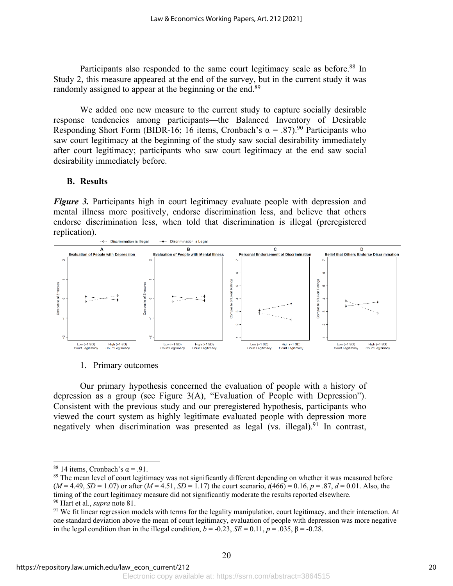Participants also responded to the same court legitimacy scale as before.<sup>88</sup> In Study 2, this measure appeared at the end of the survey, but in the current study it was randomly assigned to appear at the beginning or the end.<sup>89</sup>

We added one new measure to the current study to capture socially desirable response tendencies among participants—the Balanced Inventory of Desirable Responding Short Form (BIDR-16; 16 items, Cronbach's  $\alpha = .87$ ).<sup>90</sup> Participants who saw court legitimacy at the beginning of the study saw social desirability immediately after court legitimacy; participants who saw court legitimacy at the end saw social desirability immediately before.

### **B. Results**

*Figure 3.* Participants high in court legitimacy evaluate people with depression and mental illness more positively, endorse discrimination less, and believe that others endorse discrimination less, when told that discrimination is illegal (preregistered replication).



1. Primary outcomes

Our primary hypothesis concerned the evaluation of people with a history of depression as a group (see Figure 3(A), "Evaluation of People with Depression"). Consistent with the previous study and our preregistered hypothesis, participants who viewed the court system as highly legitimate evaluated people with depression more negatively when discrimination was presented as legal (vs. illegal). $91$  In contrast,

<sup>&</sup>lt;sup>88</sup> 14 items, Cronbach's  $\alpha$  = .91.

<sup>&</sup>lt;sup>89</sup> The mean level of court legitimacy was not significantly different depending on whether it was measured before  $(M = 4.49, SD = 1.07)$  or after  $(M = 4.51, SD = 1.17)$  the court scenario,  $t(466) = 0.16$ ,  $p = .87$ ,  $d = 0.01$ . Also, the timing of the court legitimacy measure did not significantly moderate the results reported elsewhere. <sup>90</sup> Hart et al., *supra* note 81.

 $91$  We fit linear regression models with terms for the legality manipulation, court legitimacy, and their interaction. At one standard deviation above the mean of court legitimacy, evaluation of people with depression was more negative in the legal condition than in the illegal condition,  $b = -0.23$ ,  $SE = 0.11$ ,  $p = .035$ ,  $\beta = -0.28$ .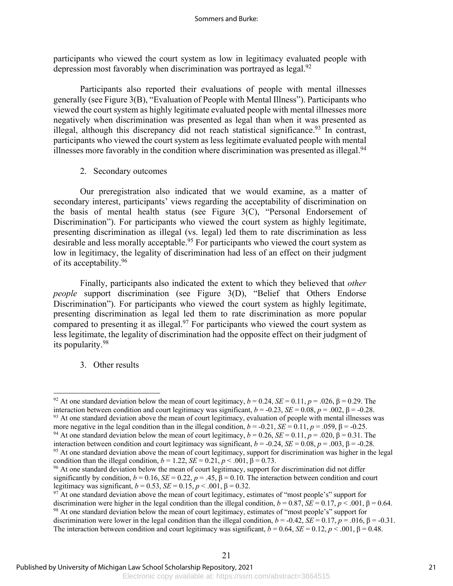participants who viewed the court system as low in legitimacy evaluated people with depression most favorably when discrimination was portrayed as legal.<sup>92</sup>

Participants also reported their evaluations of people with mental illnesses generally (see Figure 3(B), "Evaluation of People with Mental Illness"). Participants who viewed the court system as highly legitimate evaluated people with mental illnesses more negatively when discrimination was presented as legal than when it was presented as illegal, although this discrepancy did not reach statistical significance.<sup>93</sup> In contrast, participants who viewed the court system as less legitimate evaluated people with mental illnesses more favorably in the condition where discrimination was presented as illegal.<sup>94</sup>

2. Secondary outcomes

Our preregistration also indicated that we would examine, as a matter of secondary interest, participants' views regarding the acceptability of discrimination on the basis of mental health status (see Figure 3(C), "Personal Endorsement of Discrimination"). For participants who viewed the court system as highly legitimate, presenting discrimination as illegal (vs. legal) led them to rate discrimination as less desirable and less morally acceptable.<sup>95</sup> For participants who viewed the court system as low in legitimacy, the legality of discrimination had less of an effect on their judgment of its acceptability.96

Finally, participants also indicated the extent to which they believed that *other people* support discrimination (see Figure 3(D), "Belief that Others Endorse Discrimination"). For participants who viewed the court system as highly legitimate, presenting discrimination as legal led them to rate discrimination as more popular compared to presenting it as illegal. $97$  For participants who viewed the court system as less legitimate, the legality of discrimination had the opposite effect on their judgment of its popularity.98

3. Other results

<sup>&</sup>lt;sup>92</sup> At one standard deviation below the mean of court legitimacy,  $b = 0.24$ ,  $SE = 0.11$ ,  $p = .026$ ,  $\beta = 0.29$ . The interaction between condition and court legitimacy was significant,  $b = -0.23$ ,  $SE = 0.08$ ,  $p = .002$ ,  $\beta = -0.28$ . <sup>93</sup> At one standard deviation above the mean of court legitimacy, evaluation of people with mental illnesses was more negative in the legal condition than in the illegal condition,  $b = -0.21$ ,  $SE = 0.11$ ,  $p = .059$ ,  $\beta = -0.25$ .

<sup>&</sup>lt;sup>94</sup> At one standard deviation below the mean of court legitimacy,  $b = 0.26$ ,  $SE = 0.11$ ,  $p = .020$ ,  $\beta = 0.31$ . The interaction between condition and court legitimacy was significant,  $b = -0.24$ ,  $SE = 0.08$ ,  $p = .003$ ,  $\beta = -0.28$ . <sup>95</sup> At one standard deviation above the mean of court legitimacy, support for discrimination was higher in the legal condition than the illegal condition,  $b = 1.22$ ,  $SE = 0.21$ ,  $p < .001$ ,  $\beta = 0.73$ .

<sup>&</sup>lt;sup>96</sup> At one standard deviation below the mean of court legitimacy, support for discrimination did not differ significantly by condition,  $b = 0.16$ ,  $SE = 0.22$ ,  $p = .45$ ,  $\beta = 0.10$ . The interaction between condition and court legitimacy was significant,  $b = 0.53$ , *SE* = 0.15,  $p < .001$ , β = 0.32.

 $97$  At one standard deviation above the mean of court legitimacy, estimates of "most people's" support for discrimination were higher in the legal condition than the illegal condition,  $b = 0.87$ ,  $SE = 0.17$ ,  $p < .001$ ,  $\beta = 0.64$ . <sup>98</sup> At one standard deviation below the mean of court legitimacy, estimates of "most people's" support for discrimination were lower in the legal condition than the illegal condition,  $b = -0.42$ ,  $SE = 0.17$ ,  $p = .016$ ,  $\beta = -0.31$ . The interaction between condition and court legitimacy was significant,  $b = 0.64$ ,  $SE = 0.12$ ,  $p < .001$ ,  $\beta = 0.48$ .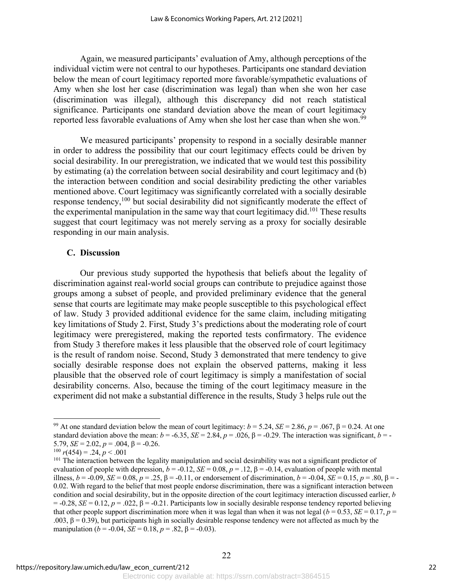Again, we measured participants' evaluation of Amy, although perceptions of the individual victim were not central to our hypotheses. Participants one standard deviation below the mean of court legitimacy reported more favorable/sympathetic evaluations of Amy when she lost her case (discrimination was legal) than when she won her case (discrimination was illegal), although this discrepancy did not reach statistical significance. Participants one standard deviation above the mean of court legitimacy reported less favorable evaluations of Amy when she lost her case than when she won.<sup>99</sup>

We measured participants' propensity to respond in a socially desirable manner in order to address the possibility that our court legitimacy effects could be driven by social desirability. In our preregistration, we indicated that we would test this possibility by estimating (a) the correlation between social desirability and court legitimacy and (b) the interaction between condition and social desirability predicting the other variables mentioned above. Court legitimacy was significantly correlated with a socially desirable response tendency,100 but social desirability did not significantly moderate the effect of the experimental manipulation in the same way that court legitimacy did.<sup>101</sup> These results suggest that court legitimacy was not merely serving as a proxy for socially desirable responding in our main analysis.

### **C. Discussion**

Our previous study supported the hypothesis that beliefs about the legality of discrimination against real-world social groups can contribute to prejudice against those groups among a subset of people, and provided preliminary evidence that the general sense that courts are legitimate may make people susceptible to this psychological effect of law. Study 3 provided additional evidence for the same claim, including mitigating key limitations of Study 2. First, Study 3's predictions about the moderating role of court legitimacy were preregistered, making the reported tests confirmatory. The evidence from Study 3 therefore makes it less plausible that the observed role of court legitimacy is the result of random noise. Second, Study 3 demonstrated that mere tendency to give socially desirable response does not explain the observed patterns, making it less plausible that the observed role of court legitimacy is simply a manifestation of social desirability concerns. Also, because the timing of the court legitimacy measure in the experiment did not make a substantial difference in the results, Study 3 helps rule out the

<sup>&</sup>lt;sup>99</sup> At one standard deviation below the mean of court legitimacy:  $b = 5.24$ ,  $SE = 2.86$ ,  $p = .067$ ,  $\beta = 0.24$ . At one standard deviation above the mean:  $b = -6.35$ ,  $SE = 2.84$ ,  $p = .026$ ,  $\beta = -0.29$ . The interaction was significant,  $b = -1$ 5.79,  $SE = 2.02$ ,  $p = .004$ ,  $\beta = -0.26$ .

 $100 \, r(454) = .24, p < .001$ 

<sup>&</sup>lt;sup>101</sup> The interaction between the legality manipulation and social desirability was not a significant predictor of evaluation of people with depression,  $b = -0.12$ ,  $SE = 0.08$ ,  $p = .12$ ,  $\beta = -0.14$ , evaluation of people with mental illness,  $b = -0.09$ ,  $SE = 0.08$ ,  $p = .25$ ,  $β = -0.11$ , or endorsement of discrimination,  $b = -0.04$ ,  $SE = 0.15$ ,  $p = .80$ ,  $β = -0.04$ 0.02. With regard to the belief that most people endorse discrimination, there was a significant interaction between condition and social desirability, but in the opposite direction of the court legitimacy interaction discussed earlier, *b*  $= -0.28$ , *SE* = 0.12, *p* = .022,  $\beta$  = -0.21. Participants low in socially desirable response tendency reported believing that other people support discrimination more when it was legal than when it was not legal ( $b = 0.53$ ,  $SE = 0.17$ ,  $p =$ .003,  $β = 0.39$ ), but participants high in socially desirable response tendency were not affected as much by the manipulation ( $b = -0.04$ ,  $SE = 0.18$ ,  $p = .82$ ,  $\beta = -0.03$ ).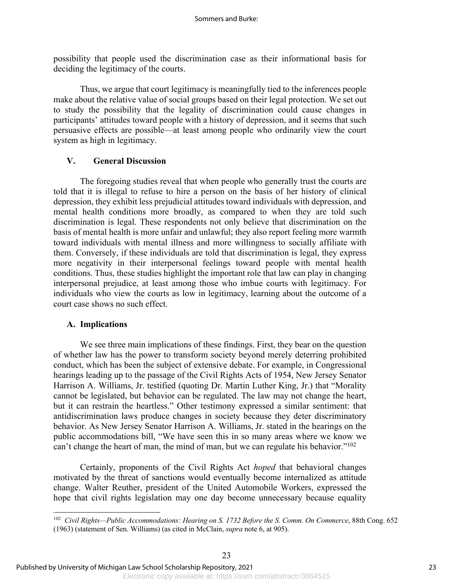possibility that people used the discrimination case as their informational basis for deciding the legitimacy of the courts.

Thus, we argue that court legitimacy is meaningfully tied to the inferences people make about the relative value of social groups based on their legal protection. We set out to study the possibility that the legality of discrimination could cause changes in participants' attitudes toward people with a history of depression, and it seems that such persuasive effects are possible—at least among people who ordinarily view the court system as high in legitimacy.

### **V. General Discussion**

The foregoing studies reveal that when people who generally trust the courts are told that it is illegal to refuse to hire a person on the basis of her history of clinical depression, they exhibit less prejudicial attitudes toward individuals with depression, and mental health conditions more broadly, as compared to when they are told such discrimination is legal. These respondents not only believe that discrimination on the basis of mental health is more unfair and unlawful; they also report feeling more warmth toward individuals with mental illness and more willingness to socially affiliate with them. Conversely, if these individuals are told that discrimination is legal, they express more negativity in their interpersonal feelings toward people with mental health conditions. Thus, these studies highlight the important role that law can play in changing interpersonal prejudice, at least among those who imbue courts with legitimacy. For individuals who view the courts as low in legitimacy, learning about the outcome of a court case shows no such effect.

#### **A. Implications**

We see three main implications of these findings. First, they bear on the question of whether law has the power to transform society beyond merely deterring prohibited conduct, which has been the subject of extensive debate. For example, in Congressional hearings leading up to the passage of the Civil Rights Acts of 1954, New Jersey Senator Harrison A. Williams, Jr. testified (quoting Dr. Martin Luther King, Jr.) that "Morality cannot be legislated, but behavior can be regulated. The law may not change the heart, but it can restrain the heartless." Other testimony expressed a similar sentiment: that antidiscrimination laws produce changes in society because they deter discriminatory behavior. As New Jersey Senator Harrison A. Williams, Jr. stated in the hearings on the public accommodations bill, "We have seen this in so many areas where we know we can't change the heart of man, the mind of man, but we can regulate his behavior."102

Certainly, proponents of the Civil Rights Act *hoped* that behavioral changes motivated by the threat of sanctions would eventually become internalized as attitude change. Walter Reuther, president of the United Automobile Workers, expressed the hope that civil rights legislation may one day become unnecessary because equality

<sup>102</sup> *Civil Rights—Public Accommodations: Hearing on S. 1732 Before the S. Comm. On Commerce*, 88th Cong. 652 (1963) (statement of Sen. Williams) (as cited in McClain, *supra* note 6, at 905).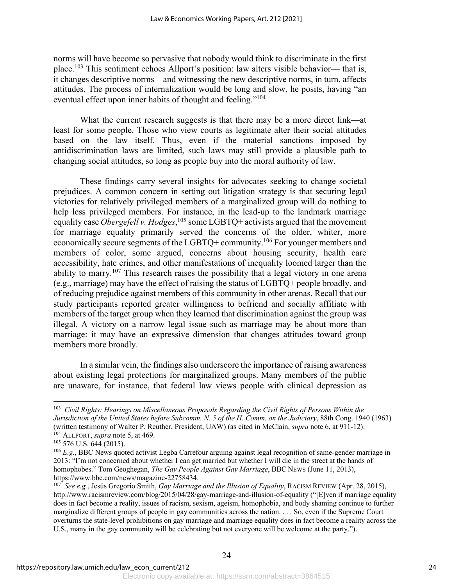norms will have become so pervasive that nobody would think to discriminate in the first place.103 This sentiment echoes Allport's position: law alters visible behavior— that is, it changes descriptive norms—and witnessing the new descriptive norms, in turn, affects attitudes. The process of internalization would be long and slow, he posits, having "an eventual effect upon inner habits of thought and feeling."<sup>104</sup>

What the current research suggests is that there may be a more direct link—at least for some people. Those who view courts as legitimate alter their social attitudes based on the law itself. Thus, even if the material sanctions imposed by antidiscrimination laws are limited, such laws may still provide a plausible path to changing social attitudes, so long as people buy into the moral authority of law.

These findings carry several insights for advocates seeking to change societal prejudices. A common concern in setting out litigation strategy is that securing legal victories for relatively privileged members of a marginalized group will do nothing to help less privileged members. For instance, in the lead-up to the landmark marriage equality case *Obergefell v. Hodges*,<sup>105</sup> some LGBTQ+ activists argued that the movement for marriage equality primarily served the concerns of the older, whiter, more economically secure segments of the LGBTQ+ community.106 For younger members and members of color, some argued, concerns about housing security, health care accessibility, hate crimes, and other manifestations of inequality loomed larger than the ability to marry.<sup>107</sup> This research raises the possibility that a legal victory in one arena (e.g., marriage) may have the effect of raising the status of LGBTQ+ people broadly, and of reducing prejudice against members of this community in other arenas. Recall that our study participants reported greater willingness to befriend and socially affiliate with members of the target group when they learned that discrimination against the group was illegal. A victory on a narrow legal issue such as marriage may be about more than marriage: it may have an expressive dimension that changes attitudes toward group members more broadly.

In a similar vein, the findings also underscore the importance of raising awareness about existing legal protections for marginalized groups. Many members of the public are unaware, for instance, that federal law views people with clinical depression as

<sup>103</sup> *Civil Rights: Hearings on Miscellaneous Proposals Regarding the Civil Rights of Persons Within the Jurisdiction of the United States before Subcomm. N. 5 of the H. Comm. on the Judiciary*, 88th Cong. 1940 (1963) (written testimony of Walter P. Reuther, President, UAW) (as cited in McClain, *supra* note 6, at 911-12).

<sup>&</sup>lt;sup>104</sup> ALLPORT, *supra* note 5, at 469.<br><sup>105</sup> 576 U.S. 644 (2015).

<sup>&</sup>lt;sup>106</sup> E.g., BBC News quoted activist Legba Carrefour arguing against legal recognition of same-gender marriage in 2013: "I'm not concerned about whether I can get married but whether I will die in the street at the hands of homophobes." Tom Geoghegan, *The Gay People Against Gay Marriage*, BBC NEWS (June 11, 2013), https://www.bbc.com/news/magazine-22758434.

<sup>107</sup> *See e.g.*, Jesús Gregorio Smith, *Gay Marriage and the Illusion of Equality*, RACISM REVIEW (Apr. 28, 2015), http://www.racismreview.com/blog/2015/04/28/gay-marriage-and-illusion-of-equality ("[E]ven if marriage equality does in fact become a reality, issues of racism, sexism, ageism, homophobia, and body shaming continue to further marginalize different groups of people in gay communities across the nation. . . . So, even if the Supreme Court overturns the state-level prohibitions on gay marriage and marriage equality does in fact become a reality across the U.S., many in the gay community will be celebrating but not everyone will be welcome at the party.").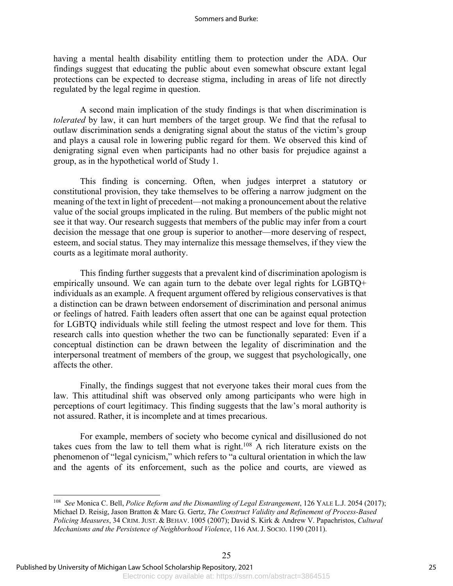#### Sommers and Burke:

having a mental health disability entitling them to protection under the ADA. Our findings suggest that educating the public about even somewhat obscure extant legal protections can be expected to decrease stigma, including in areas of life not directly regulated by the legal regime in question.

A second main implication of the study findings is that when discrimination is *tolerated* by law, it can hurt members of the target group. We find that the refusal to outlaw discrimination sends a denigrating signal about the status of the victim's group and plays a causal role in lowering public regard for them. We observed this kind of denigrating signal even when participants had no other basis for prejudice against a group, as in the hypothetical world of Study 1.

This finding is concerning. Often, when judges interpret a statutory or constitutional provision, they take themselves to be offering a narrow judgment on the meaning of the text in light of precedent—not making a pronouncement about the relative value of the social groups implicated in the ruling. But members of the public might not see it that way. Our research suggests that members of the public may infer from a court decision the message that one group is superior to another—more deserving of respect, esteem, and social status. They may internalize this message themselves, if they view the courts as a legitimate moral authority.

This finding further suggests that a prevalent kind of discrimination apologism is empirically unsound. We can again turn to the debate over legal rights for LGBTQ+ individuals as an example. A frequent argument offered by religious conservatives is that a distinction can be drawn between endorsement of discrimination and personal animus or feelings of hatred. Faith leaders often assert that one can be against equal protection for LGBTQ individuals while still feeling the utmost respect and love for them. This research calls into question whether the two can be functionally separated: Even if a conceptual distinction can be drawn between the legality of discrimination and the interpersonal treatment of members of the group, we suggest that psychologically, one affects the other.

Finally, the findings suggest that not everyone takes their moral cues from the law. This attitudinal shift was observed only among participants who were high in perceptions of court legitimacy. This finding suggests that the law's moral authority is not assured. Rather, it is incomplete and at times precarious.

For example, members of society who become cynical and disillusioned do not takes cues from the law to tell them what is right. $108$  A rich literature exists on the phenomenon of "legal cynicism," which refers to "a cultural orientation in which the law and the agents of its enforcement, such as the police and courts, are viewed as

<sup>108</sup> *See* Monica C. Bell, *Police Reform and the Dismantling of Legal Estrangement*, 126 YALE L.J. 2054 (2017); Michael D. Reisig, Jason Bratton & Marc G. Gertz, *The Construct Validity and Refinement of Process-Based Policing Measures*, 34 CRIM. JUST. & BEHAV. 1005 (2007); David S. Kirk & Andrew V. Papachristos, *Cultural Mechanisms and the Persistence of Neighborhood Violence*, 116 AM. J. SOCIO. 1190 (2011).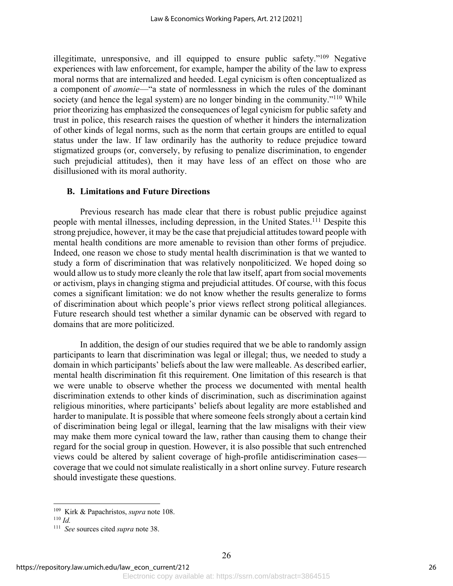illegitimate, unresponsive, and ill equipped to ensure public safety."109 Negative experiences with law enforcement, for example, hamper the ability of the law to express moral norms that are internalized and heeded. Legal cynicism is often conceptualized as a component of *anomie*—"a state of normlessness in which the rules of the dominant society (and hence the legal system) are no longer binding in the community."<sup>110</sup> While prior theorizing has emphasized the consequences of legal cynicism for public safety and trust in police, this research raises the question of whether it hinders the internalization of other kinds of legal norms, such as the norm that certain groups are entitled to equal status under the law. If law ordinarily has the authority to reduce prejudice toward stigmatized groups (or, conversely, by refusing to penalize discrimination, to engender such prejudicial attitudes), then it may have less of an effect on those who are disillusioned with its moral authority.

### **B. Limitations and Future Directions**

Previous research has made clear that there is robust public prejudice against people with mental illnesses, including depression, in the United States.111 Despite this strong prejudice, however, it may be the case that prejudicial attitudes toward people with mental health conditions are more amenable to revision than other forms of prejudice. Indeed, one reason we chose to study mental health discrimination is that we wanted to study a form of discrimination that was relatively nonpoliticized. We hoped doing so would allow us to study more cleanly the role that law itself, apart from social movements or activism, plays in changing stigma and prejudicial attitudes. Of course, with this focus comes a significant limitation: we do not know whether the results generalize to forms of discrimination about which people's prior views reflect strong political allegiances. Future research should test whether a similar dynamic can be observed with regard to domains that are more politicized.

In addition, the design of our studies required that we be able to randomly assign participants to learn that discrimination was legal or illegal; thus, we needed to study a domain in which participants' beliefs about the law were malleable. As described earlier, mental health discrimination fit this requirement. One limitation of this research is that we were unable to observe whether the process we documented with mental health discrimination extends to other kinds of discrimination, such as discrimination against religious minorities, where participants' beliefs about legality are more established and harder to manipulate. It is possible that where someone feels strongly about a certain kind of discrimination being legal or illegal, learning that the law misaligns with their view may make them more cynical toward the law, rather than causing them to change their regard for the social group in question. However, it is also possible that such entrenched views could be altered by salient coverage of high-profile antidiscrimination cases coverage that we could not simulate realistically in a short online survey. Future research should investigate these questions.

<sup>109</sup> Kirk & Papachristos, *supra* note 108.

<sup>110</sup> *Id.*

<sup>111</sup> *See* sources cited *supra* note 38.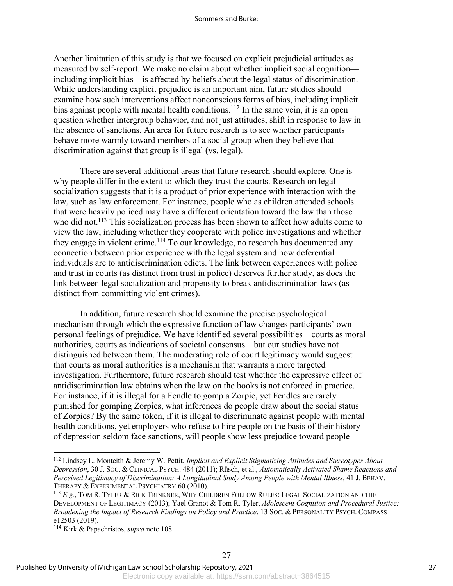#### Sommers and Burke:

Another limitation of this study is that we focused on explicit prejudicial attitudes as measured by self-report. We make no claim about whether implicit social cognition including implicit bias—is affected by beliefs about the legal status of discrimination. While understanding explicit prejudice is an important aim, future studies should examine how such interventions affect nonconscious forms of bias, including implicit bias against people with mental health conditions.<sup>112</sup> In the same vein, it is an open question whether intergroup behavior, and not just attitudes, shift in response to law in the absence of sanctions. An area for future research is to see whether participants behave more warmly toward members of a social group when they believe that discrimination against that group is illegal (vs. legal).

There are several additional areas that future research should explore. One is why people differ in the extent to which they trust the courts. Research on legal socialization suggests that it is a product of prior experience with interaction with the law, such as law enforcement. For instance, people who as children attended schools that were heavily policed may have a different orientation toward the law than those who did not.<sup>113</sup> This socialization process has been shown to affect how adults come to view the law, including whether they cooperate with police investigations and whether they engage in violent crime.114 To our knowledge, no research has documented any connection between prior experience with the legal system and how deferential individuals are to antidiscrimination edicts. The link between experiences with police and trust in courts (as distinct from trust in police) deserves further study, as does the link between legal socialization and propensity to break antidiscrimination laws (as distinct from committing violent crimes).

In addition, future research should examine the precise psychological mechanism through which the expressive function of law changes participants' own personal feelings of prejudice. We have identified several possibilities—courts as moral authorities, courts as indications of societal consensus—but our studies have not distinguished between them. The moderating role of court legitimacy would suggest that courts as moral authorities is a mechanism that warrants a more targeted investigation. Furthermore, future research should test whether the expressive effect of antidiscrimination law obtains when the law on the books is not enforced in practice. For instance, if it is illegal for a Fendle to gomp a Zorpie, yet Fendles are rarely punished for gomping Zorpies, what inferences do people draw about the social status of Zorpies? By the same token, if it is illegal to discriminate against people with mental health conditions, yet employers who refuse to hire people on the basis of their history of depression seldom face sanctions, will people show less prejudice toward people

<sup>112</sup> Lindsey L. Monteith & Jeremy W. Pettit, *Implicit and Explicit Stigmatizing Attitudes and Stereotypes About Depression*, 30 J. SOC. & CLINICAL PSYCH. 484 (2011); Rüsch, et al., *Automatically Activated Shame Reactions and Perceived Legitimacy of Discrimination: A Longitudinal Study Among People with Mental Illness*, 41 J. BEHAV. THERAPY & EXPERIMENTAL PSYCHIATRY 60 (2010).

<sup>113</sup> *E.g.*, TOM R. TYLER & RICK TRINKNER, WHY CHILDREN FOLLOW RULES: LEGAL SOCIALIZATION AND THE DEVELOPMENT OF LEGITIMACY (2013); Yael Granot & Tom R. Tyler, *Adolescent Cognition and Procedural Justice: Broadening the Impact of Research Findings on Policy and Practice*, 13 SOC. & PERSONALITY PSYCH. COMPASS e12503 (2019).

<sup>114</sup> Kirk & Papachristos, *supra* note 108.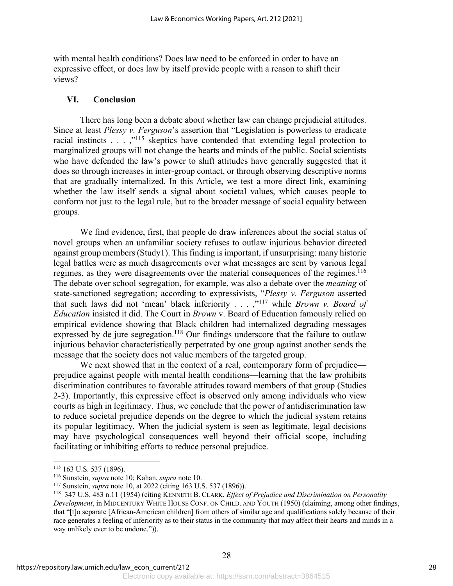with mental health conditions? Does law need to be enforced in order to have an expressive effect, or does law by itself provide people with a reason to shift their views?

### **VI. Conclusion**

There has long been a debate about whether law can change prejudicial attitudes. Since at least *Plessy v. Ferguson*'s assertion that "Legislation is powerless to eradicate racial instincts  $\dots$ ,  $\cdot$ <sup>115</sup> skeptics have contended that extending legal protection to marginalized groups will not change the hearts and minds of the public. Social scientists who have defended the law's power to shift attitudes have generally suggested that it does so through increases in inter-group contact, or through observing descriptive norms that are gradually internalized. In this Article, we test a more direct link, examining whether the law itself sends a signal about societal values, which causes people to conform not just to the legal rule, but to the broader message of social equality between groups.

We find evidence, first, that people do draw inferences about the social status of novel groups when an unfamiliar society refuses to outlaw injurious behavior directed against group members (Study1). This finding is important, if unsurprising: many historic legal battles were as much disagreements over what messages are sent by various legal regimes, as they were disagreements over the material consequences of the regimes.<sup>116</sup> The debate over school segregation, for example, was also a debate over the *meaning* of state-sanctioned segregation; according to expressivists, "*Plessy v. Ferguson* asserted that such laws did not 'mean' black inferiority . . . ,"117 while *Brown v. Board of Education* insisted it did. The Court in *Brown* v. Board of Education famously relied on empirical evidence showing that Black children had internalized degrading messages expressed by de jure segregation.<sup>118</sup> Our findings underscore that the failure to outlaw injurious behavior characteristically perpetrated by one group against another sends the message that the society does not value members of the targeted group.

We next showed that in the context of a real, contemporary form of prejudice prejudice against people with mental health conditions—learning that the law prohibits discrimination contributes to favorable attitudes toward members of that group (Studies 2-3). Importantly, this expressive effect is observed only among individuals who view courts as high in legitimacy. Thus, we conclude that the power of antidiscrimination law to reduce societal prejudice depends on the degree to which the judicial system retains its popular legitimacy. When the judicial system is seen as legitimate, legal decisions may have psychological consequences well beyond their official scope, including facilitating or inhibiting efforts to reduce personal prejudice.

<sup>115</sup> 163 U.S. 537 (1896).

<sup>116</sup> Sunstein, *supra* note 10; Kahan, *supra* note 10.

<sup>117</sup> Sunstein, *supra* note 10, at 2022 (citing 163 U.S. 537 (1896)).

<sup>118</sup> 347 U.S. 483 n.11 (1954) (citing KENNETH B. CLARK, *Effect of Prejudice and Discrimination on Personality Development*, in MIDCENTURY WHITE HOUSE CONF. ON CHILD. AND YOUTH (1950) (claiming, among other findings, that "[t]o separate [African-American children] from others of similar age and qualifications solely because of their race generates a feeling of inferiority as to their status in the community that may affect their hearts and minds in a way unlikely ever to be undone.")).